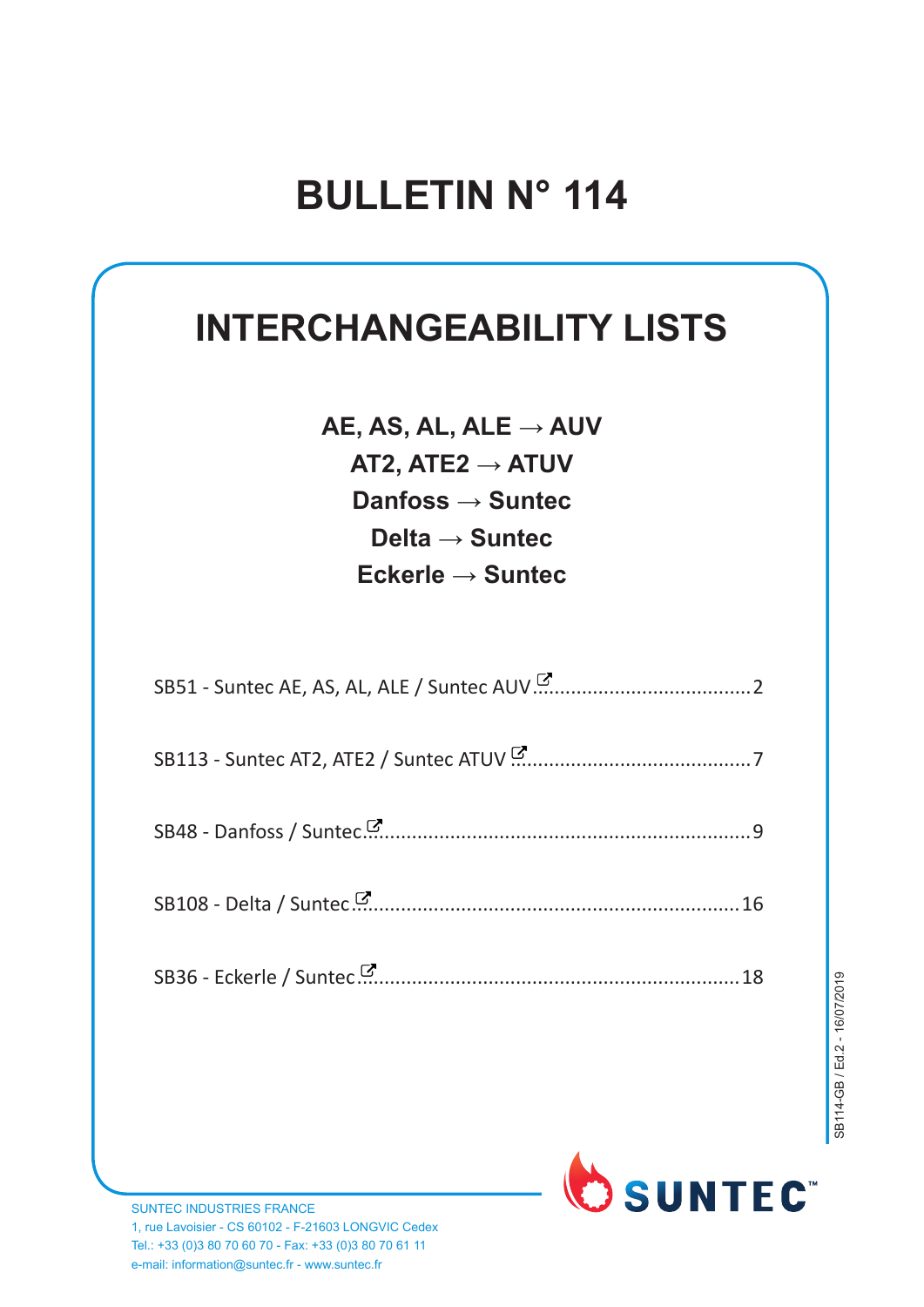### **INTERCHANGEABILITY LISTS**

**AE, AS, AL, ALE → AUV AT2, ATE2 → ATUV Danfoss → Suntec Delta → Suntec Eckerle → Suntec**

| 16 |
|----|
|    |



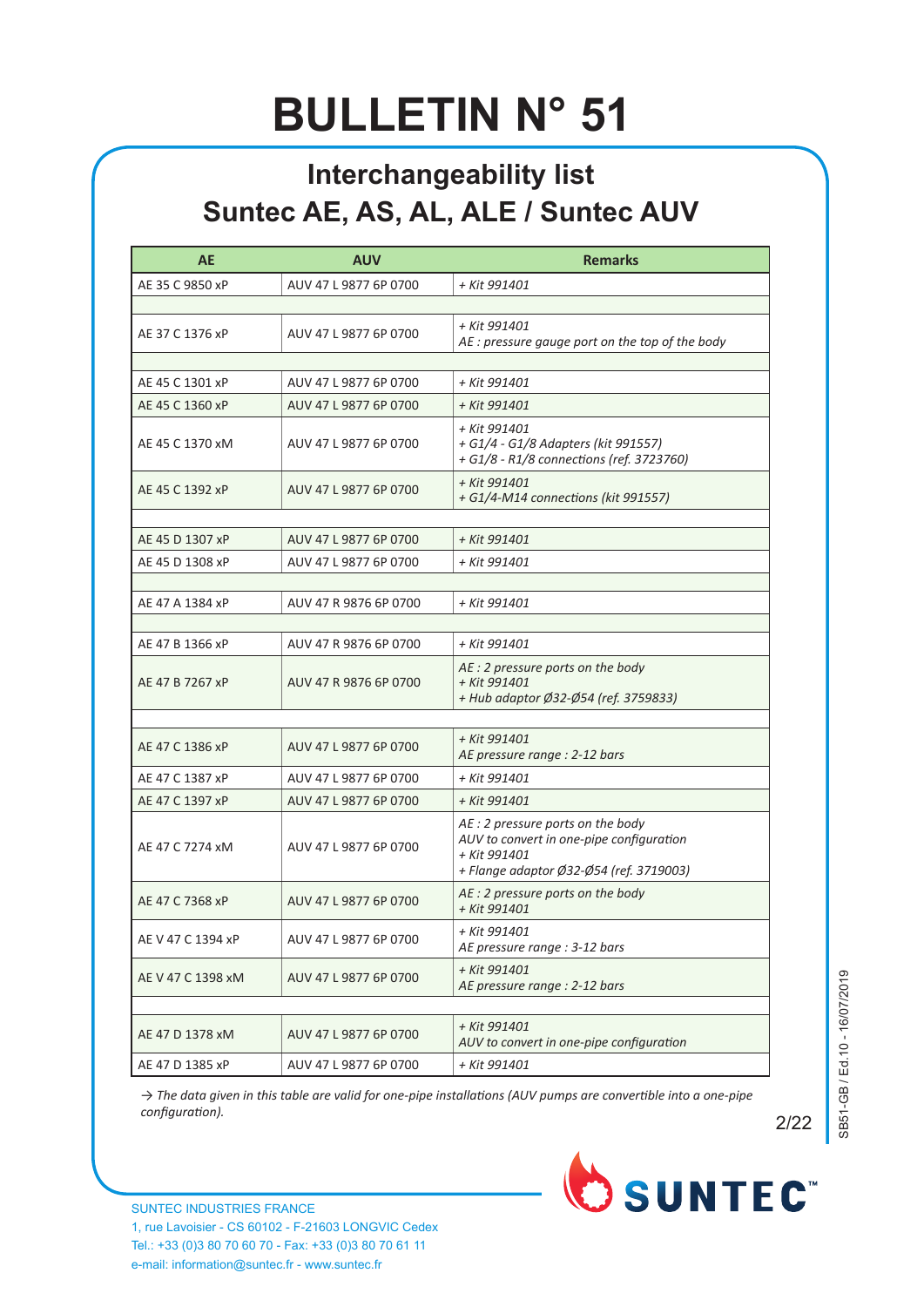#### **Interchangeability list Suntec AE, AS, AL, ALE / Suntec AUV**

| <b>AE</b>         | <b>AUV</b>            | <b>Remarks</b>                                                                                                                           |  |
|-------------------|-----------------------|------------------------------------------------------------------------------------------------------------------------------------------|--|
| AE 35 C 9850 xP   | AUV 47 L 9877 6P 0700 | + Kit 991401                                                                                                                             |  |
|                   |                       |                                                                                                                                          |  |
| AE 37 C 1376 xP   | AUV 47 L 9877 6P 0700 | + Kit 991401<br>AE: pressure gauge port on the top of the body                                                                           |  |
|                   |                       |                                                                                                                                          |  |
| AE 45 C 1301 xP   | AUV 47 L 9877 6P 0700 | + Kit 991401                                                                                                                             |  |
| AE 45 C 1360 xP   | AUV 47 L 9877 6P 0700 | + Kit 991401                                                                                                                             |  |
| AE 45 C 1370 xM   | AUV 47 L 9877 6P 0700 | + Kit 991401<br>+ G1/4 - G1/8 Adapters (kit 991557)<br>+ G1/8 - R1/8 connections (ref. 3723760)                                          |  |
| AE 45 C 1392 xP   | AUV 47 L 9877 6P 0700 | + Kit 991401<br>+ G1/4-M14 connections (kit 991557)                                                                                      |  |
| AE 45 D 1307 xP   | AUV 47 L 9877 6P 0700 | + Kit 991401                                                                                                                             |  |
| AE 45 D 1308 xP   | AUV 47 L 9877 6P 0700 | + Kit 991401                                                                                                                             |  |
|                   |                       |                                                                                                                                          |  |
| AE 47 A 1384 xP   | AUV 47 R 9876 6P 0700 | + Kit 991401                                                                                                                             |  |
|                   |                       |                                                                                                                                          |  |
| AE 47 B 1366 xP   | AUV 47 R 9876 6P 0700 | + Kit 991401                                                                                                                             |  |
| AE 47 B 7267 xP   | AUV 47 R 9876 6P 0700 | AE : 2 pressure ports on the body<br>+ Kit 991401<br>+ Hub adaptor Ø32-Ø54 (ref. 3759833)                                                |  |
|                   |                       |                                                                                                                                          |  |
| AE 47 C 1386 xP   | AUV 47 L 9877 6P 0700 | + Kit 991401<br>AE pressure range : 2-12 bars                                                                                            |  |
| AE 47 C 1387 xP   | AUV 47 L 9877 6P 0700 | + Kit 991401                                                                                                                             |  |
| AE 47 C 1397 xP   | AUV 47 L 9877 6P 0700 | + Kit 991401                                                                                                                             |  |
| AE 47 C 7274 xM   | AUV 47 L 9877 6P 0700 | AE : 2 pressure ports on the body<br>AUV to convert in one-pipe configuration<br>+ Kit 991401<br>+ Flange adaptor Ø32-Ø54 (ref. 3719003) |  |
| AE 47 C 7368 xP   | AUV 47 L 9877 6P 0700 | AE : 2 pressure ports on the body<br>+ Kit 991401                                                                                        |  |
| AE V 47 C 1394 xP | AUV 47 L 9877 6P 0700 | + Kit 991401<br>AE pressure range : 3-12 bars                                                                                            |  |
| AE V 47 C 1398 xM | AUV 47 L 9877 6P 0700 | + Kit 991401<br>AE pressure range : 2-12 bars                                                                                            |  |
|                   |                       |                                                                                                                                          |  |
| AE 47 D 1378 xM   | AUV 47 L 9877 6P 0700 | + Kit 991401<br>AUV to convert in one-pipe configuration                                                                                 |  |
| AE 47 D 1385 xP   | AUV 47 L 9877 6P 0700 | + Kit 991401                                                                                                                             |  |

→ The data given in this table are valid for one-pipe installations (AUV pumps are convertible into a one-pipe configuration). *configuration*). **2/22** 



 $2/22$ 

OSUNTEC<sup>®</sup>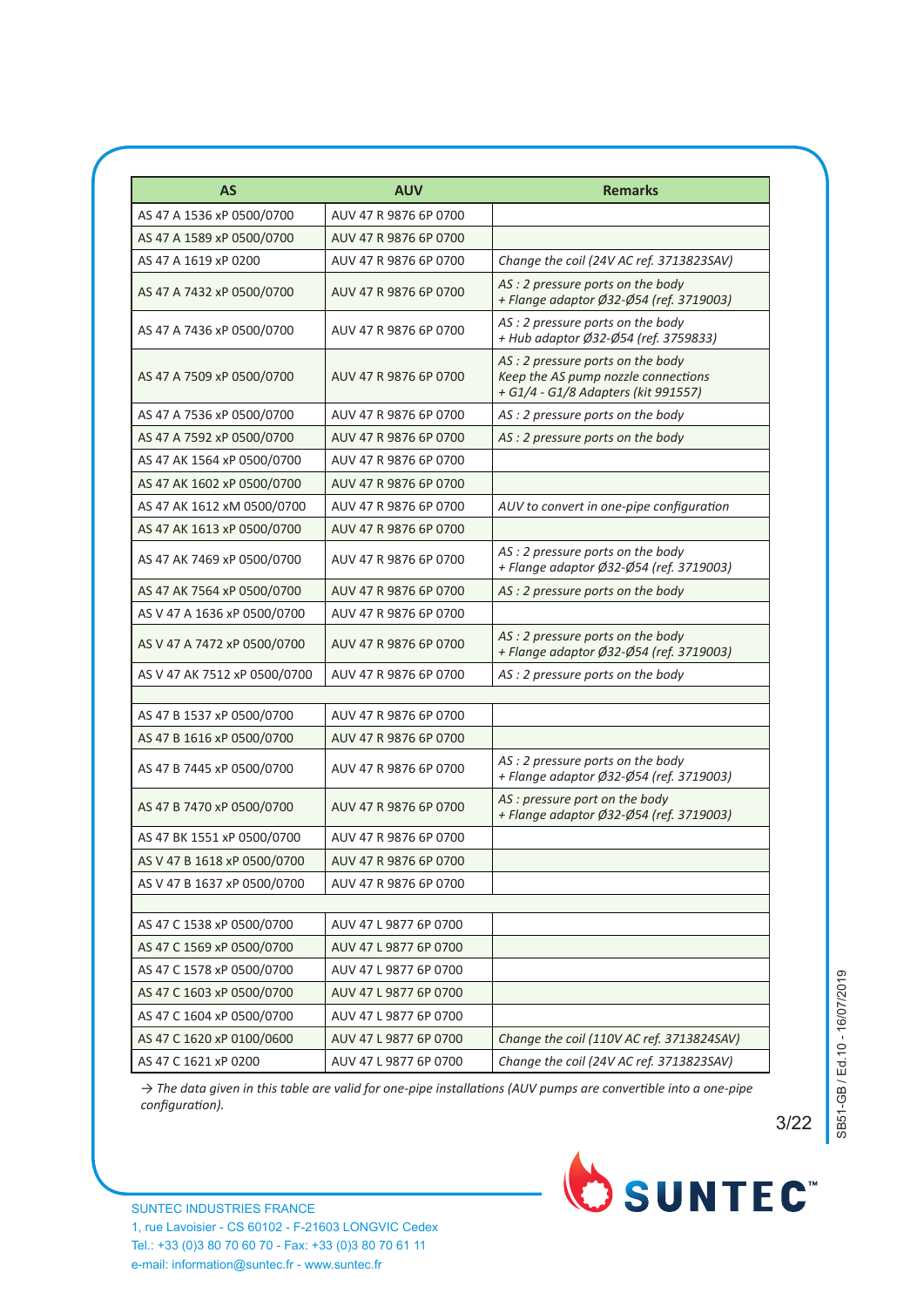| AS                           | <b>AUV</b>            | <b>Remarks</b>                                                                                                 |
|------------------------------|-----------------------|----------------------------------------------------------------------------------------------------------------|
| AS 47 A 1536 xP 0500/0700    | AUV 47 R 9876 6P 0700 |                                                                                                                |
| AS 47 A 1589 xP 0500/0700    | AUV 47 R 9876 6P 0700 |                                                                                                                |
| AS 47 A 1619 xP 0200         | AUV 47 R 9876 6P 0700 | Change the coil (24V AC ref. 3713823SAV)                                                                       |
| AS 47 A 7432 xP 0500/0700    | AUV 47 R 9876 6P 0700 | AS : 2 pressure ports on the body<br>+ Flange adaptor Ø32-Ø54 (ref. 3719003)                                   |
| AS 47 A 7436 xP 0500/0700    | AUV 47 R 9876 6P 0700 | AS: 2 pressure ports on the body<br>+ Hub adaptor Ø32-Ø54 (ref. 3759833)                                       |
| AS 47 A 7509 xP 0500/0700    | AUV 47 R 9876 6P 0700 | AS: 2 pressure ports on the body<br>Keep the AS pump nozzle connections<br>+ G1/4 - G1/8 Adapters (kit 991557) |
| AS 47 A 7536 xP 0500/0700    | AUV 47 R 9876 6P 0700 | AS: 2 pressure ports on the body                                                                               |
| AS 47 A 7592 xP 0500/0700    | AUV 47 R 9876 6P 0700 | AS : 2 pressure ports on the body                                                                              |
| AS 47 AK 1564 xP 0500/0700   | AUV 47 R 9876 6P 0700 |                                                                                                                |
| AS 47 AK 1602 xP 0500/0700   | AUV 47 R 9876 6P 0700 |                                                                                                                |
| AS 47 AK 1612 xM 0500/0700   | AUV 47 R 9876 6P 0700 | AUV to convert in one-pipe configuration                                                                       |
| AS 47 AK 1613 xP 0500/0700   | AUV 47 R 9876 6P 0700 |                                                                                                                |
| AS 47 AK 7469 xP 0500/0700   | AUV 47 R 9876 6P 0700 | AS: 2 pressure ports on the body<br>+ Flange adaptor Ø32-Ø54 (ref. 3719003)                                    |
| AS 47 AK 7564 xP 0500/0700   | AUV 47 R 9876 6P 0700 | AS: 2 pressure ports on the body                                                                               |
| AS V 47 A 1636 xP 0500/0700  | AUV 47 R 9876 6P 0700 |                                                                                                                |
| AS V 47 A 7472 xP 0500/0700  | AUV 47 R 9876 6P 0700 | AS : 2 pressure ports on the body<br>+ Flange adaptor Ø32-Ø54 (ref. 3719003)                                   |
| AS V 47 AK 7512 xP 0500/0700 | AUV 47 R 9876 6P 0700 | AS: 2 pressure ports on the body                                                                               |
|                              |                       |                                                                                                                |
| AS 47 B 1537 xP 0500/0700    | AUV 47 R 9876 6P 0700 |                                                                                                                |
| AS 47 B 1616 xP 0500/0700    | AUV 47 R 9876 6P 0700 |                                                                                                                |
| AS 47 B 7445 xP 0500/0700    | AUV 47 R 9876 6P 0700 | AS: 2 pressure ports on the body<br>+ Flange adaptor Ø32-Ø54 (ref. 3719003)                                    |
| AS 47 B 7470 xP 0500/0700    | AUV 47 R 9876 6P 0700 | AS : pressure port on the body<br>+ Flange adaptor Ø32-Ø54 (ref. 3719003)                                      |
| AS 47 BK 1551 xP 0500/0700   | AUV 47 R 9876 6P 0700 |                                                                                                                |
| AS V 47 B 1618 xP 0500/0700  | AUV 47 R 9876 6P 0700 |                                                                                                                |
| AS V 47 B 1637 xP 0500/0700  | AUV 47 R 9876 6P 0700 |                                                                                                                |
| AS 47 C 1538 xP 0500/0700    | AUV 47 L 9877 6P 0700 |                                                                                                                |
| AS 47 C 1569 xP 0500/0700    | AUV 47 L 9877 6P 0700 |                                                                                                                |
| AS 47 C 1578 xP 0500/0700    | AUV 47 L 9877 6P 0700 |                                                                                                                |
| AS 47 C 1603 xP 0500/0700    | AUV 47 L 9877 6P 0700 |                                                                                                                |
| AS 47 C 1604 xP 0500/0700    | AUV 47 L 9877 6P 0700 |                                                                                                                |
| AS 47 C 1620 xP 0100/0600    | AUV 47 L 9877 6P 0700 | Change the coil (110V AC ref. 3713824SAV)                                                                      |
| AS 47 C 1621 xP 0200         | AUV 47 L 9877 6P 0700 | Change the coil (24V AC ref. 3713823SAV)                                                                       |

SB51-GB / Ed.10 - 16/07/2019 SB51-GB / Ed.10 - 16/07/2019

2/5 3/22

→ The data given in this table are valid for one-pipe installations (AUV pumps are convertible into a one-pipe  $configuration$ ).

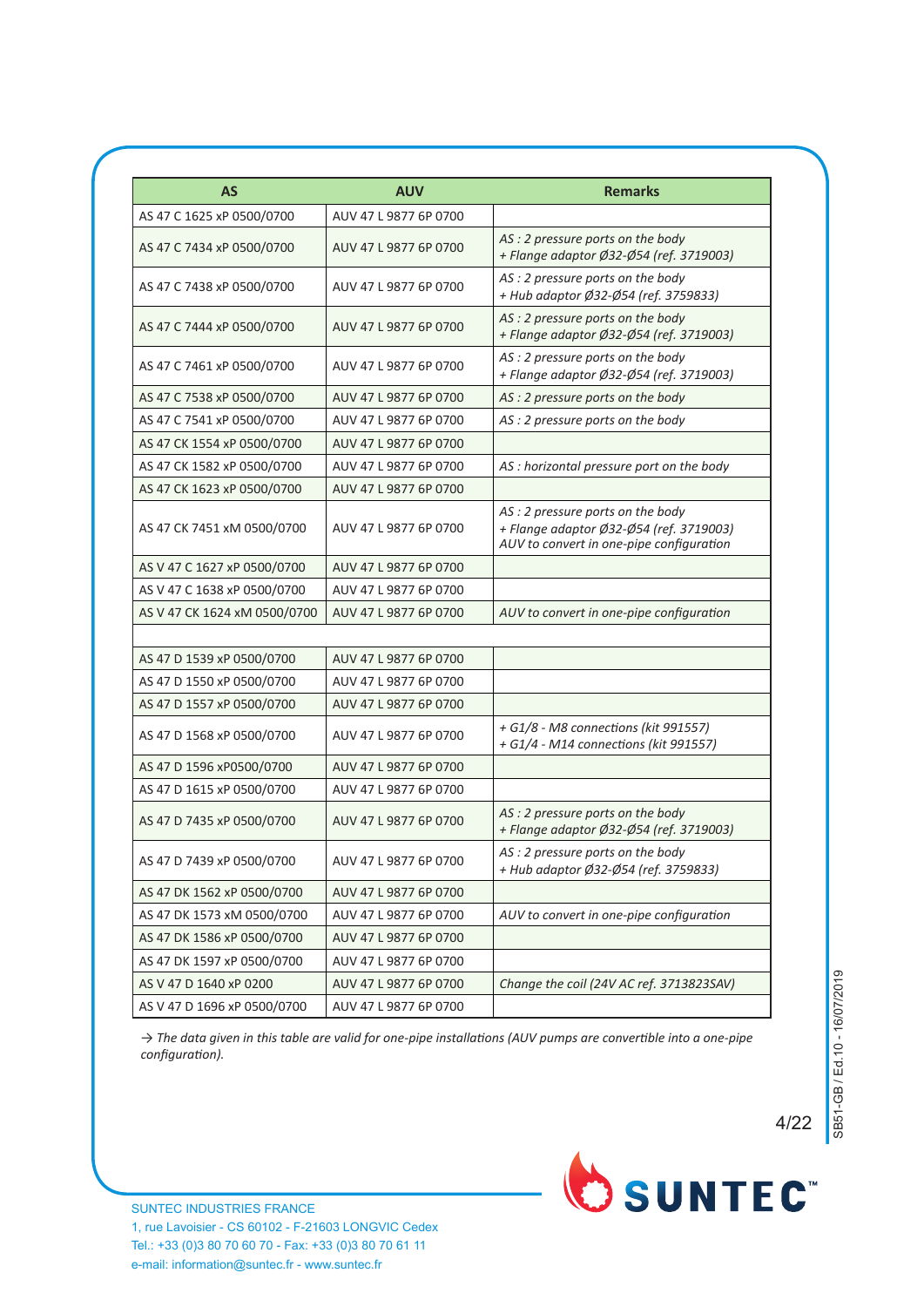| <b>AS</b>                    | <b>AUV</b>            | <b>Remarks</b>                                                                                                          |
|------------------------------|-----------------------|-------------------------------------------------------------------------------------------------------------------------|
| AS 47 C 1625 xP 0500/0700    | AUV 47 L 9877 6P 0700 |                                                                                                                         |
| AS 47 C 7434 xP 0500/0700    | AUV 47 L 9877 6P 0700 | AS : 2 pressure ports on the body<br>+ Flange adaptor Ø32-Ø54 (ref. 3719003)                                            |
| AS 47 C 7438 xP 0500/0700    | AUV 47 L 9877 6P 0700 | AS : 2 pressure ports on the body<br>+ Hub adaptor Ø32-Ø54 (ref. 3759833)                                               |
| AS 47 C 7444 xP 0500/0700    | AUV 47 L 9877 6P 0700 | AS : 2 pressure ports on the body<br>+ Flange adaptor Ø32-Ø54 (ref. 3719003)                                            |
| AS 47 C 7461 xP 0500/0700    | AUV 47 L 9877 6P 0700 | AS: 2 pressure ports on the body<br>+ Flange adaptor Ø32-Ø54 (ref. 3719003)                                             |
| AS 47 C 7538 xP 0500/0700    | AUV 47 L 9877 6P 0700 | AS : 2 pressure ports on the body                                                                                       |
| AS 47 C 7541 xP 0500/0700    | AUV 47 L 9877 6P 0700 | AS : 2 pressure ports on the body                                                                                       |
| AS 47 CK 1554 xP 0500/0700   | AUV 47 L 9877 6P 0700 |                                                                                                                         |
| AS 47 CK 1582 xP 0500/0700   | AUV 47 L 9877 6P 0700 | AS : horizontal pressure port on the body                                                                               |
| AS 47 CK 1623 xP 0500/0700   | AUV 47 L 9877 6P 0700 |                                                                                                                         |
| AS 47 CK 7451 xM 0500/0700   | AUV 47 L 9877 6P 0700 | AS: 2 pressure ports on the body<br>+ Flange adaptor Ø32-Ø54 (ref. 3719003)<br>AUV to convert in one-pipe configuration |
| AS V 47 C 1627 xP 0500/0700  | AUV 47 L 9877 6P 0700 |                                                                                                                         |
| AS V 47 C 1638 xP 0500/0700  | AUV 47 L 9877 6P 0700 |                                                                                                                         |
| AS V 47 CK 1624 xM 0500/0700 | AUV 47 L 9877 6P 0700 | AUV to convert in one-pipe configuration                                                                                |
| AS 47 D 1539 xP 0500/0700    | AUV 47 L 9877 6P 0700 |                                                                                                                         |
| AS 47 D 1550 xP 0500/0700    | AUV 47 L 9877 6P 0700 |                                                                                                                         |
| AS 47 D 1557 xP 0500/0700    | AUV 47 L 9877 6P 0700 |                                                                                                                         |
| AS 47 D 1568 xP 0500/0700    | AUV 47 L 9877 6P 0700 | + G1/8 - M8 connections (kit 991557)<br>+ G1/4 - M14 connections (kit 991557)                                           |
| AS 47 D 1596 xP0500/0700     | AUV 47 L 9877 6P 0700 |                                                                                                                         |
| AS 47 D 1615 xP 0500/0700    | AUV 47 L 9877 6P 0700 |                                                                                                                         |
| AS 47 D 7435 xP 0500/0700    | AUV 47 L 9877 6P 0700 | AS : 2 pressure ports on the body<br>+ Flange adaptor Ø32-Ø54 (ref. 3719003)                                            |
| AS 47 D 7439 xP 0500/0700    | AUV 47 L 9877 6P 0700 | AS : 2 pressure ports on the body<br>+ Hub adaptor Ø32-Ø54 (ref. 3759833)                                               |
| AS 47 DK 1562 xP 0500/0700   | AUV 47 L 9877 6P 0700 |                                                                                                                         |
| AS 47 DK 1573 xM 0500/0700   | AUV 47 L 9877 6P 0700 | AUV to convert in one-pipe configuration                                                                                |
| AS 47 DK 1586 xP 0500/0700   | AUV 47 L 9877 6P 0700 |                                                                                                                         |
| AS 47 DK 1597 xP 0500/0700   | AUV 47 L 9877 6P 0700 |                                                                                                                         |
| AS V 47 D 1640 xP 0200       | AUV 47 L 9877 6P 0700 | Change the coil (24V AC ref. 3713823SAV)                                                                                |
| AS V 47 D 1696 xP 0500/0700  | AUV 47 L 9877 6P 0700 |                                                                                                                         |

→ The data given in this table are valid for one-pipe installations (AUV pumps are convertible into a one-pipe *configuration*).



4/22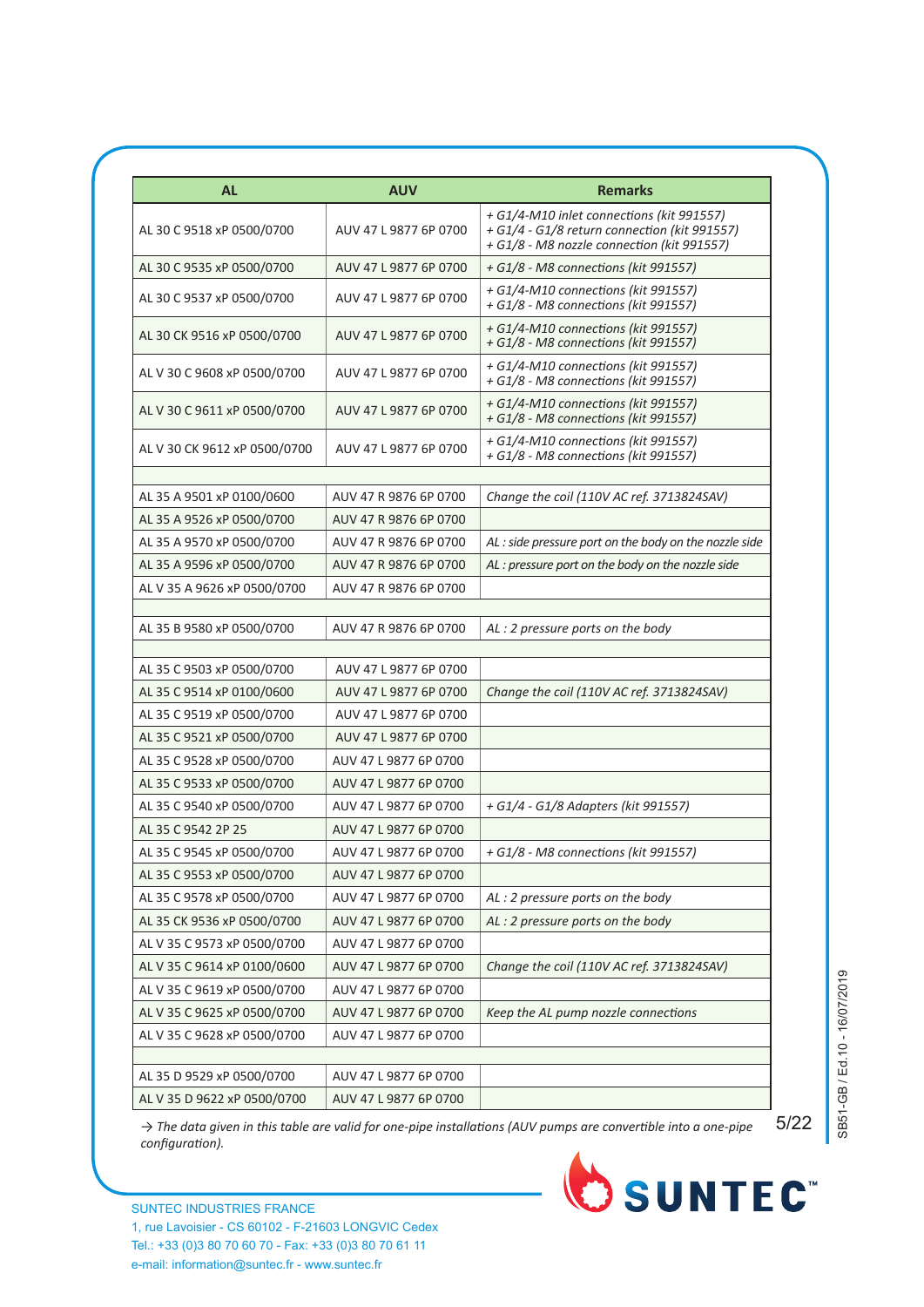| <b>AL</b>                    | <b>AUV</b>            | <b>Remarks</b>                                                                                                                          |
|------------------------------|-----------------------|-----------------------------------------------------------------------------------------------------------------------------------------|
| AL 30 C 9518 xP 0500/0700    | AUV 47 L 9877 6P 0700 | + G1/4-M10 inlet connections (kit 991557)<br>+ G1/4 - G1/8 return connection (kit 991557)<br>+ G1/8 - M8 nozzle connection (kit 991557) |
| AL 30 C 9535 xP 0500/0700    | AUV 47 L 9877 6P 0700 | + G1/8 - M8 connections (kit 991557)                                                                                                    |
| AL 30 C 9537 xP 0500/0700    | AUV 47 L 9877 6P 0700 | + G1/4-M10 connections (kit 991557)<br>+ G1/8 - M8 connections (kit 991557)                                                             |
| AL 30 CK 9516 xP 0500/0700   | AUV 47 L 9877 6P 0700 | + G1/4-M10 connections (kit 991557)<br>+ G1/8 - M8 connections (kit 991557)                                                             |
| AL V 30 C 9608 xP 0500/0700  | AUV 47 L 9877 6P 0700 | + G1/4-M10 connections (kit 991557)<br>+ G1/8 - M8 connections (kit 991557)                                                             |
| AL V 30 C 9611 xP 0500/0700  | AUV 47 L 9877 6P 0700 | + G1/4-M10 connections (kit 991557)<br>+ G1/8 - M8 connections (kit 991557)                                                             |
| AL V 30 CK 9612 xP 0500/0700 | AUV 47 L 9877 6P 0700 | + G1/4-M10 connections (kit 991557)<br>+ G1/8 - M8 connections (kit 991557)                                                             |
|                              |                       |                                                                                                                                         |
| AL 35 A 9501 xP 0100/0600    | AUV 47 R 9876 6P 0700 | Change the coil (110V AC ref. 3713824SAV)                                                                                               |
| AL 35 A 9526 xP 0500/0700    | AUV 47 R 9876 6P 0700 |                                                                                                                                         |
| AL 35 A 9570 xP 0500/0700    | AUV 47 R 9876 6P 0700 | AL: side pressure port on the body on the nozzle side                                                                                   |
| AL 35 A 9596 xP 0500/0700    | AUV 47 R 9876 6P 0700 | AL: pressure port on the body on the nozzle side                                                                                        |
| AL V 35 A 9626 xP 0500/0700  | AUV 47 R 9876 6P 0700 |                                                                                                                                         |
| AL 35 B 9580 xP 0500/0700    | AUV 47 R 9876 6P 0700 | AL: 2 pressure ports on the body                                                                                                        |
| AL 35 C 9503 xP 0500/0700    | AUV 47 L 9877 6P 0700 |                                                                                                                                         |
| AL 35 C 9514 xP 0100/0600    | AUV 47 L 9877 6P 0700 | Change the coil (110V AC ref. 3713824SAV)                                                                                               |
| AL 35 C 9519 xP 0500/0700    | AUV 47 L 9877 6P 0700 |                                                                                                                                         |
| AL 35 C 9521 xP 0500/0700    | AUV 47 L 9877 6P 0700 |                                                                                                                                         |
| AL 35 C 9528 xP 0500/0700    | AUV 47 L 9877 6P 0700 |                                                                                                                                         |
| AL 35 C 9533 xP 0500/0700    | AUV 47 L 9877 6P 0700 |                                                                                                                                         |
| AL 35 C 9540 xP 0500/0700    | AUV 47 L 9877 6P 0700 | + G1/4 - G1/8 Adapters (kit 991557)                                                                                                     |
| AL 35 C 9542 2P 25           | AUV 47 L 9877 6P 0700 |                                                                                                                                         |
| AL 35 C 9545 xP 0500/0700    | AUV 47 L 9877 6P 0700 | + G1/8 - M8 connections (kit 991557)                                                                                                    |
| AL 35 C 9553 xP 0500/0700    | AUV 47 L 9877 6P 0700 |                                                                                                                                         |
| AL 35 C 9578 xP 0500/0700    | AUV 47 L 9877 6P 0700 | AL: 2 pressure ports on the body                                                                                                        |
| AL 35 CK 9536 xP 0500/0700   | AUV 47 L 9877 6P 0700 | AL: 2 pressure ports on the body                                                                                                        |
| AL V 35 C 9573 xP 0500/0700  | AUV 47 L 9877 6P 0700 |                                                                                                                                         |
| AL V 35 C 9614 xP 0100/0600  | AUV 47 L 9877 6P 0700 | Change the coil (110V AC ref. 3713824SAV)                                                                                               |
| AL V 35 C 9619 xP 0500/0700  | AUV 47 L 9877 6P 0700 |                                                                                                                                         |
| AL V 35 C 9625 xP 0500/0700  | AUV 47 L 9877 6P 0700 | Keep the AL pump nozzle connections                                                                                                     |
| AL V 35 C 9628 xP 0500/0700  | AUV 47 L 9877 6P 0700 |                                                                                                                                         |
|                              |                       |                                                                                                                                         |
| AL 35 D 9529 xP 0500/0700    | AUV 47 L 9877 6P 0700 |                                                                                                                                         |
| AL V 35 D 9622 xP 0500/0700  | AUV 47 L 9877 6P 0700 |                                                                                                                                         |

→ The data given in this table are valid for one-pipe installations (AUV pumps are convertible into a one-pipe  $configuration$ ).



4/5 5/22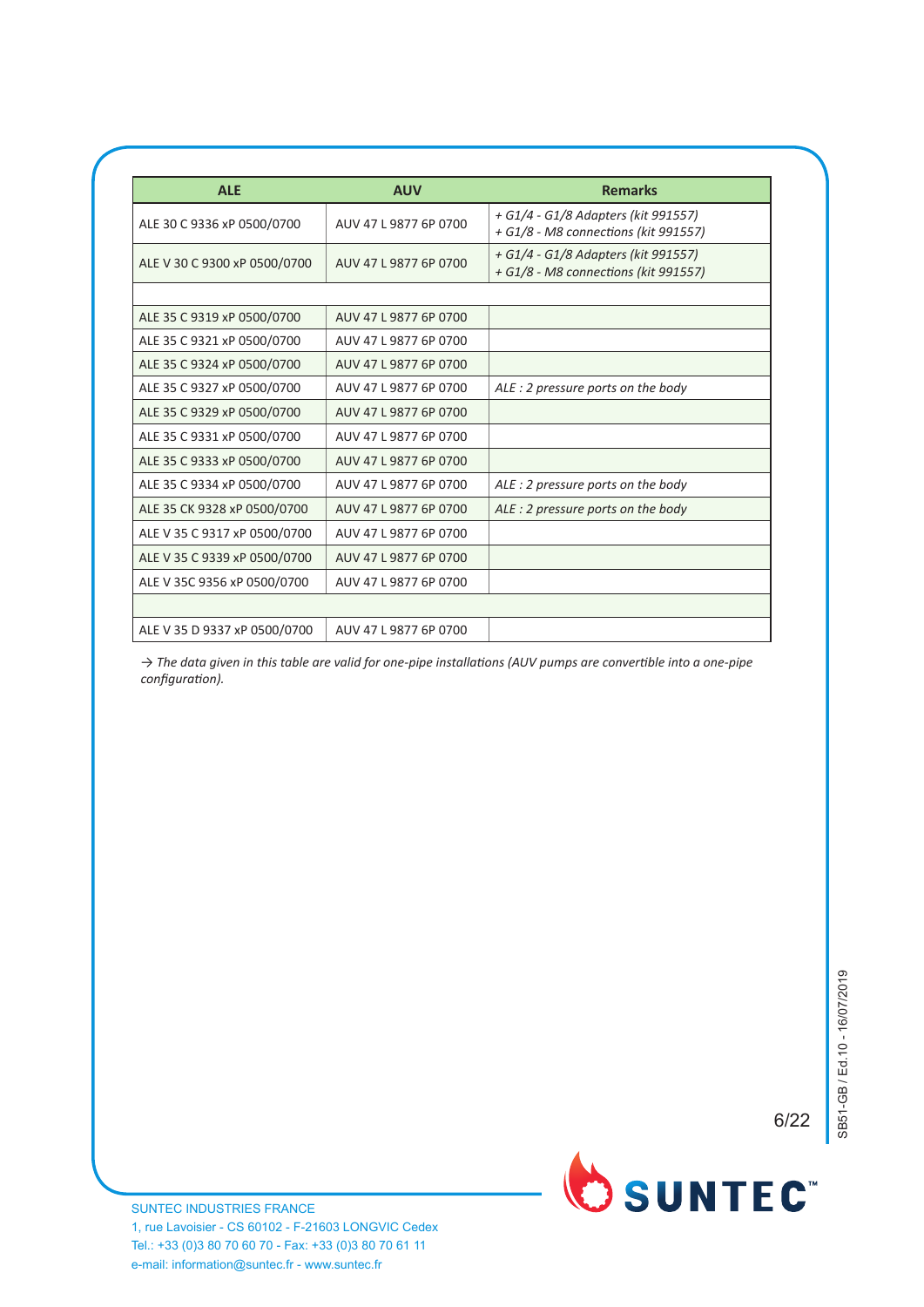| <b>ALE</b>                   | <b>AUV</b>            | <b>Remarks</b>                                                              |
|------------------------------|-----------------------|-----------------------------------------------------------------------------|
| ALE 30 C 9336 xP 0500/0700   | AUV 47 L 9877 6P 0700 | + G1/4 - G1/8 Adapters (kit 991557)<br>+ G1/8 - M8 connections (kit 991557) |
| ALE V 30 C 9300 xP 0500/0700 | AUV 47 L 9877 6P 0700 | + G1/4 - G1/8 Adapters (kit 991557)<br>+ G1/8 - M8 connections (kit 991557) |
|                              |                       |                                                                             |
| ALE 35 C 9319 xP 0500/0700   | AUV 47 L 9877 6P 0700 |                                                                             |
| ALE 35 C 9321 xP 0500/0700   | AUV 47 L 9877 6P 0700 |                                                                             |
| ALE 35 C 9324 xP 0500/0700   | AUV 47 L 9877 6P 0700 |                                                                             |
| ALE 35 C 9327 xP 0500/0700   | AUV 47 L 9877 6P 0700 | ALE: 2 pressure ports on the body                                           |
| ALE 35 C 9329 xP 0500/0700   | AUV 47 L 9877 6P 0700 |                                                                             |
| ALE 35 C 9331 xP 0500/0700   | AUV 47 L 9877 6P 0700 |                                                                             |
| ALE 35 C 9333 xP 0500/0700   | AUV 47 L 9877 6P 0700 |                                                                             |
| ALE 35 C 9334 xP 0500/0700   | AUV 47 L 9877 6P 0700 | ALE: 2 pressure ports on the body                                           |
| ALE 35 CK 9328 xP 0500/0700  | AUV 47 L 9877 6P 0700 | ALE: 2 pressure ports on the body                                           |
| ALE V 35 C 9317 xP 0500/0700 | AUV 47 L 9877 6P 0700 |                                                                             |
| ALE V 35 C 9339 xP 0500/0700 | AUV 47 L 9877 6P 0700 |                                                                             |
| ALE V 35C 9356 xP 0500/0700  | AUV 47 L 9877 6P 0700 |                                                                             |
|                              |                       |                                                                             |
| ALE V 35 D 9337 xP 0500/0700 | AUV 47 L 9877 6P 0700 |                                                                             |

→ The data given in this table are valid for one-pipe installations (AUV pumps are convertible into a one-pipe *configuration*).

5/5 6/22

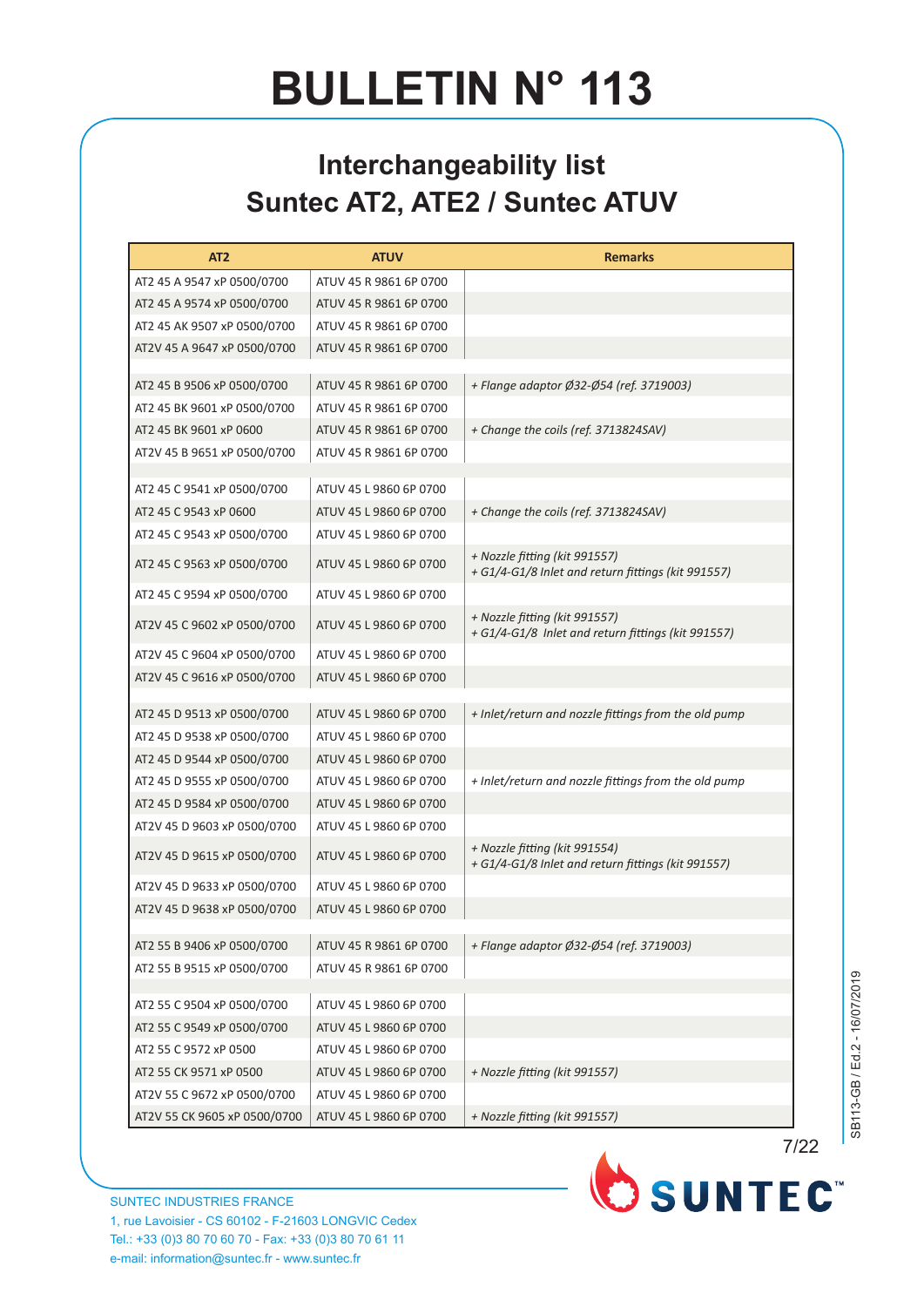#### **Interchangeability list Suntec AT2, ATE2 / Suntec ATUV**

| AT <sub>2</sub>                                          | <b>ATUV</b>                                      | <b>Remarks</b>                                                                      |
|----------------------------------------------------------|--------------------------------------------------|-------------------------------------------------------------------------------------|
| AT2 45 A 9547 xP 0500/0700                               | ATUV 45 R 9861 6P 0700                           |                                                                                     |
| AT2 45 A 9574 xP 0500/0700                               | ATUV 45 R 9861 6P 0700                           |                                                                                     |
| AT2 45 AK 9507 xP 0500/0700                              | ATUV 45 R 9861 6P 0700                           |                                                                                     |
| AT2V 45 A 9647 xP 0500/0700                              | ATUV 45 R 9861 6P 0700                           |                                                                                     |
|                                                          |                                                  |                                                                                     |
| AT2 45 B 9506 xP 0500/0700                               | ATUV 45 R 9861 6P 0700<br>ATUV 45 R 9861 6P 0700 | + Flange adaptor Ø32-Ø54 (ref. 3719003)                                             |
| AT2 45 BK 9601 xP 0500/0700<br>AT2 45 BK 9601 xP 0600    |                                                  | + Change the coils (ref. 3713824SAV)                                                |
| AT2V 45 B 9651 xP 0500/0700                              | ATUV 45 R 9861 6P 0700<br>ATUV 45 R 9861 6P 0700 |                                                                                     |
|                                                          |                                                  |                                                                                     |
| AT2 45 C 9541 xP 0500/0700                               | ATUV 45 L 9860 6P 0700                           |                                                                                     |
| AT2 45 C 9543 xP 0600                                    | ATUV 45 L 9860 6P 0700                           | + Change the coils (ref. 3713824SAV)                                                |
| AT2 45 C 9543 xP 0500/0700                               | ATUV 45 L 9860 6P 0700                           |                                                                                     |
| AT2 45 C 9563 xP 0500/0700                               | ATUV 45 L 9860 6P 0700                           | + Nozzle fitting (kit 991557)                                                       |
|                                                          |                                                  | + G1/4-G1/8 Inlet and return fittings (kit 991557)                                  |
| AT2 45 C 9594 xP 0500/0700                               | ATUV 45 L 9860 6P 0700                           |                                                                                     |
| AT2V 45 C 9602 xP 0500/0700                              | ATUV 45 L 9860 6P 0700                           | + Nozzle fitting (kit 991557)<br>+ G1/4-G1/8 Inlet and return fittings (kit 991557) |
| AT2V 45 C 9604 xP 0500/0700                              | ATUV 45 L 9860 6P 0700                           |                                                                                     |
| AT2V 45 C 9616 xP 0500/0700                              | ATUV 45 L 9860 6P 0700                           |                                                                                     |
|                                                          |                                                  |                                                                                     |
| AT2 45 D 9513 xP 0500/0700                               | ATUV 45 L 9860 6P 0700                           | + Inlet/return and nozzle fittings from the old pump                                |
| AT2 45 D 9538 xP 0500/0700                               | ATUV 45 L 9860 6P 0700                           |                                                                                     |
| AT2 45 D 9544 xP 0500/0700<br>AT2 45 D 9555 xP 0500/0700 | ATUV 45 L 9860 6P 0700<br>ATUV 45 L 9860 6P 0700 | + Inlet/return and nozzle fittings from the old pump                                |
| AT2 45 D 9584 xP 0500/0700                               | ATUV 45 L 9860 6P 0700                           |                                                                                     |
| AT2V 45 D 9603 xP 0500/0700                              | ATUV 45 L 9860 6P 0700                           |                                                                                     |
|                                                          |                                                  | + Nozzle fitting (kit 991554)                                                       |
| AT2V 45 D 9615 xP 0500/0700                              | ATUV 45 L 9860 6P 0700                           | + G1/4-G1/8 Inlet and return fittings (kit 991557)                                  |
| AT2V 45 D 9633 xP 0500/0700                              | ATUV 45 L 9860 6P 0700                           |                                                                                     |
| AT2V 45 D 9638 xP 0500/0700                              | ATUV 45 L 9860 6P 0700                           |                                                                                     |
| AT2 55 B 9406 xP 0500/0700                               | ATUV 45 R 9861 6P 0700                           | + Flange adaptor Ø32-Ø54 (ref. 3719003)                                             |
| AT2 55 B 9515 xP 0500/0700                               | ATUV 45 R 9861 6P 0700                           |                                                                                     |
|                                                          |                                                  |                                                                                     |
| AT2 55 C 9504 xP 0500/0700                               | ATUV 45 L 9860 6P 0700                           |                                                                                     |
| AT2 55 C 9549 xP 0500/0700                               | ATUV 45 L 9860 6P 0700                           |                                                                                     |
| AT2 55 C 9572 xP 0500                                    | ATUV 45 L 9860 6P 0700                           |                                                                                     |
| AT2 55 CK 9571 xP 0500                                   | ATUV 45 L 9860 6P 0700                           | + Nozzle fitting (kit 991557)                                                       |
| AT2V 55 C 9672 xP 0500/0700                              | ATUV 45 L 9860 6P 0700                           |                                                                                     |
| AT2V 55 CK 9605 xP 0500/0700                             | ATUV 45 L 9860 6P 0700                           | + Nozzle fitting (kit 991557)                                                       |

SB113-GB / Ed.2 - 16/07/2019 SB113-GB / Ed.2 - 16/07/2019

1/2 7/22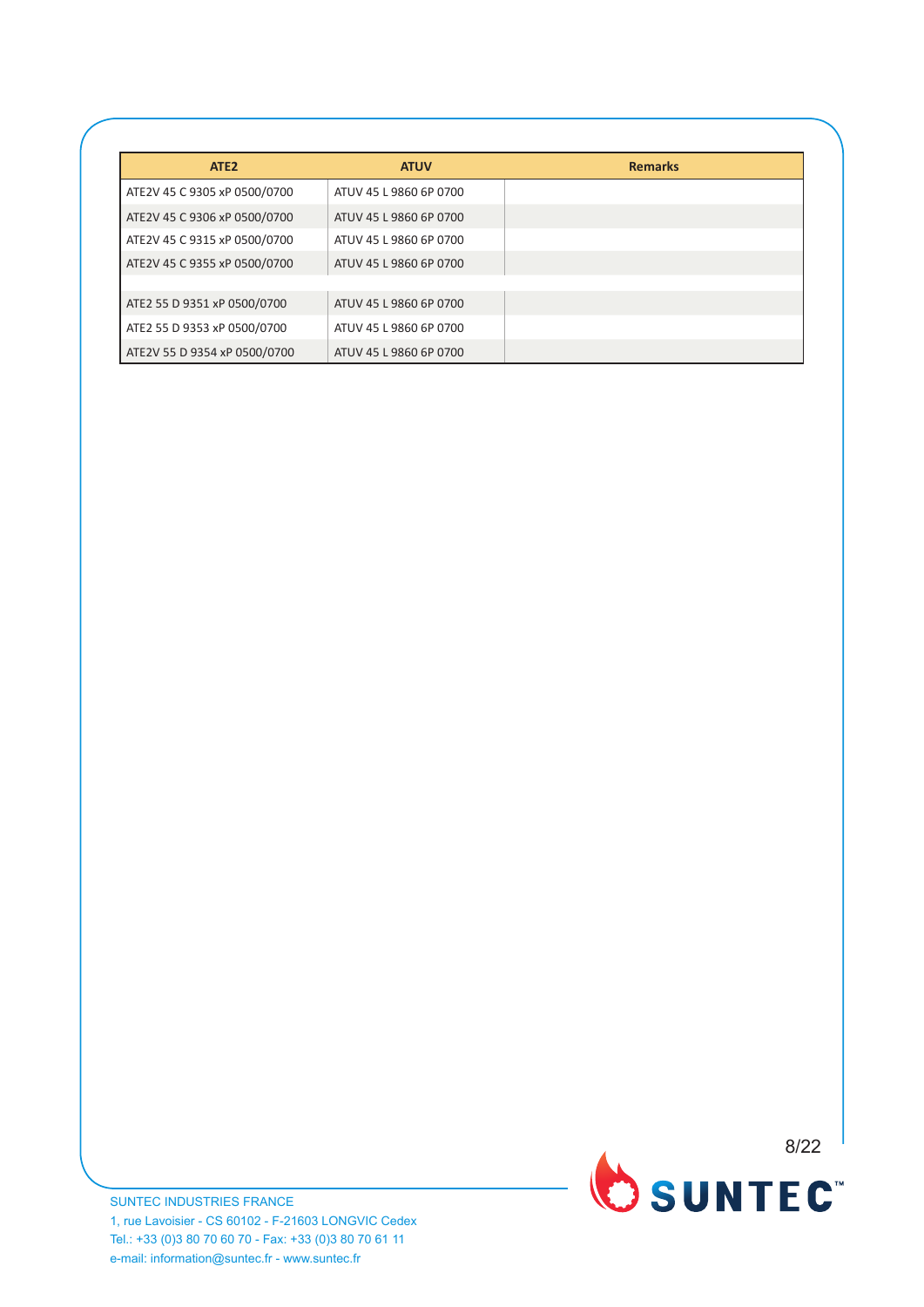| ATE <sub>2</sub>             | <b>ATUV</b>            | <b>Remarks</b> |
|------------------------------|------------------------|----------------|
| ATE2V 45 C 9305 xP 0500/0700 | ATUV 45 L 9860 6P 0700 |                |
| ATE2V 45 C 9306 xP 0500/0700 | ATUV 45 L 9860 6P 0700 |                |
| ATE2V 45 C 9315 xP 0500/0700 | ATUV 45 L 9860 6P 0700 |                |
| ATE2V 45 C 9355 xP 0500/0700 | ATUV 45 L 9860 6P 0700 |                |
|                              |                        |                |
| ATE2 55 D 9351 xP 0500/0700  | ATUV 45 L 9860 6P 0700 |                |
| ATE2 55 D 9353 xP 0500/0700  | ATUV 45 L 9860 6P 0700 |                |
| ATE2V 55 D 9354 xP 0500/0700 | ATUV 45 L 9860 6P 0700 |                |

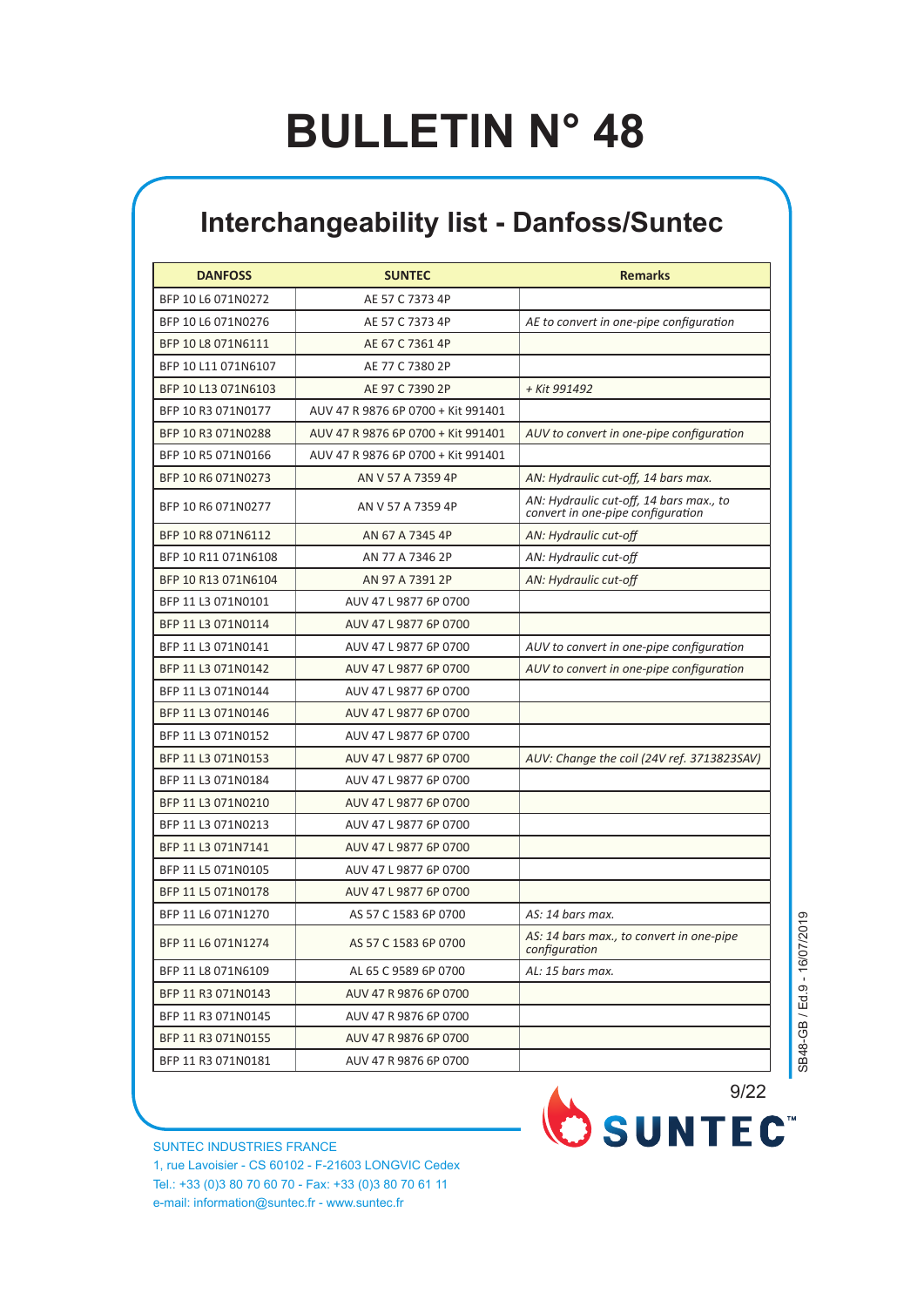#### **Interchangeability list - Danfoss/Suntec**

| <b>DANFOSS</b>      | <b>SUNTEC</b>                      | <b>Remarks</b>                                                               |
|---------------------|------------------------------------|------------------------------------------------------------------------------|
| BFP 10 L6 071N0272  | AE 57 C 7373 4P                    |                                                                              |
| BFP 10 L6 071N0276  | AE 57 C 7373 4P                    | AE to convert in one-pipe configuration                                      |
| BFP 10 L8 071N6111  | AE 67 C 7361 4P                    |                                                                              |
| BFP 10 L11 071N6107 | AE 77 C 7380 2P                    |                                                                              |
| BFP 10 L13 071N6103 | AE 97 C 7390 2P                    | + Kit 991492                                                                 |
| BFP 10 R3 071N0177  | AUV 47 R 9876 6P 0700 + Kit 991401 |                                                                              |
| BFP 10 R3 071N0288  | AUV 47 R 9876 6P 0700 + Kit 991401 | AUV to convert in one-pipe configuration                                     |
| BFP 10 R5 071N0166  | AUV 47 R 9876 6P 0700 + Kit 991401 |                                                                              |
| BFP 10 R6 071N0273  | AN V 57 A 7359 4P                  | AN: Hydraulic cut-off, 14 bars max.                                          |
| BFP 10 R6 071N0277  | AN V 57 A 7359 4P                  | AN: Hydraulic cut-off, 14 bars max., to<br>convert in one-pipe configuration |
| BFP 10 R8 071N6112  | AN 67 A 7345 4P                    | AN: Hydraulic cut-off                                                        |
| BFP 10 R11 071N6108 | AN 77 A 7346 2P                    | AN: Hydraulic cut-off                                                        |
| BFP 10 R13 071N6104 | AN 97 A 7391 2P                    | AN: Hydraulic cut-off                                                        |
| BFP 11 L3 071N0101  | AUV 47 L 9877 6P 0700              |                                                                              |
| BFP 11 L3 071N0114  | AUV 47 L 9877 6P 0700              |                                                                              |
| BFP 11 L3 071N0141  | AUV 47 L 9877 6P 0700              | AUV to convert in one-pipe configuration                                     |
| BFP 11 L3 071N0142  | AUV 47 L 9877 6P 0700              | AUV to convert in one-pipe configuration                                     |
| BFP 11 L3 071N0144  | AUV 47 L 9877 6P 0700              |                                                                              |
| BFP 11 L3 071N0146  | AUV 47 L 9877 6P 0700              |                                                                              |
| BFP 11 L3 071N0152  | AUV 47 L 9877 6P 0700              |                                                                              |
| BFP 11 L3 071N0153  | AUV 47 L 9877 6P 0700              | AUV: Change the coil (24V ref. 3713823SAV)                                   |
| BFP 11 L3 071N0184  | AUV 47 L 9877 6P 0700              |                                                                              |
| BFP 11 L3 071N0210  | AUV 47 L 9877 6P 0700              |                                                                              |
| BFP 11 L3 071N0213  | AUV 47 L 9877 6P 0700              |                                                                              |
| BFP 11 L3 071N7141  | AUV 47 L 9877 6P 0700              |                                                                              |
| BFP 11 L5 071N0105  | AUV 47 L 9877 6P 0700              |                                                                              |
| BFP 11 L5 071N0178  | AUV 47 L 9877 6P 0700              |                                                                              |
| BFP 11 L6 071N1270  | AS 57 C 1583 6P 0700               | AS: 14 bars max.                                                             |
| BFP 11 L6 071N1274  | AS 57 C 1583 6P 0700               | AS: 14 bars max., to convert in one-pipe<br>configuration                    |
| BFP 11 L8 071N6109  | AL 65 C 9589 6P 0700               | AL: 15 bars max.                                                             |
| BFP 11 R3 071N0143  | AUV 47 R 9876 6P 0700              |                                                                              |
| BFP 11 R3 071N0145  | AUV 47 R 9876 6P 0700              |                                                                              |
| BFP 11 R3 071N0155  | AUV 47 R 9876 6P 0700              |                                                                              |
| BFP 11 R3 071N0181  | AUV 47 R 9876 6P 0700              |                                                                              |

SB48-GB / Ed.9 - 16/07/2019 SB48-GB / Ed.9 - 16/07/2019

SUNTEC INDUSTRIES FRANCE 1, rue Lavoisier - CS 60102 - F-21603 LONGVIC Cedex Tel.: +33 (0)3 80 70 60 70 - Fax: +33 (0)3 80 70 61 11 e-mail: information@suntec.fr - www.suntec.fr

OSUNTEC<sup>®</sup> 9/22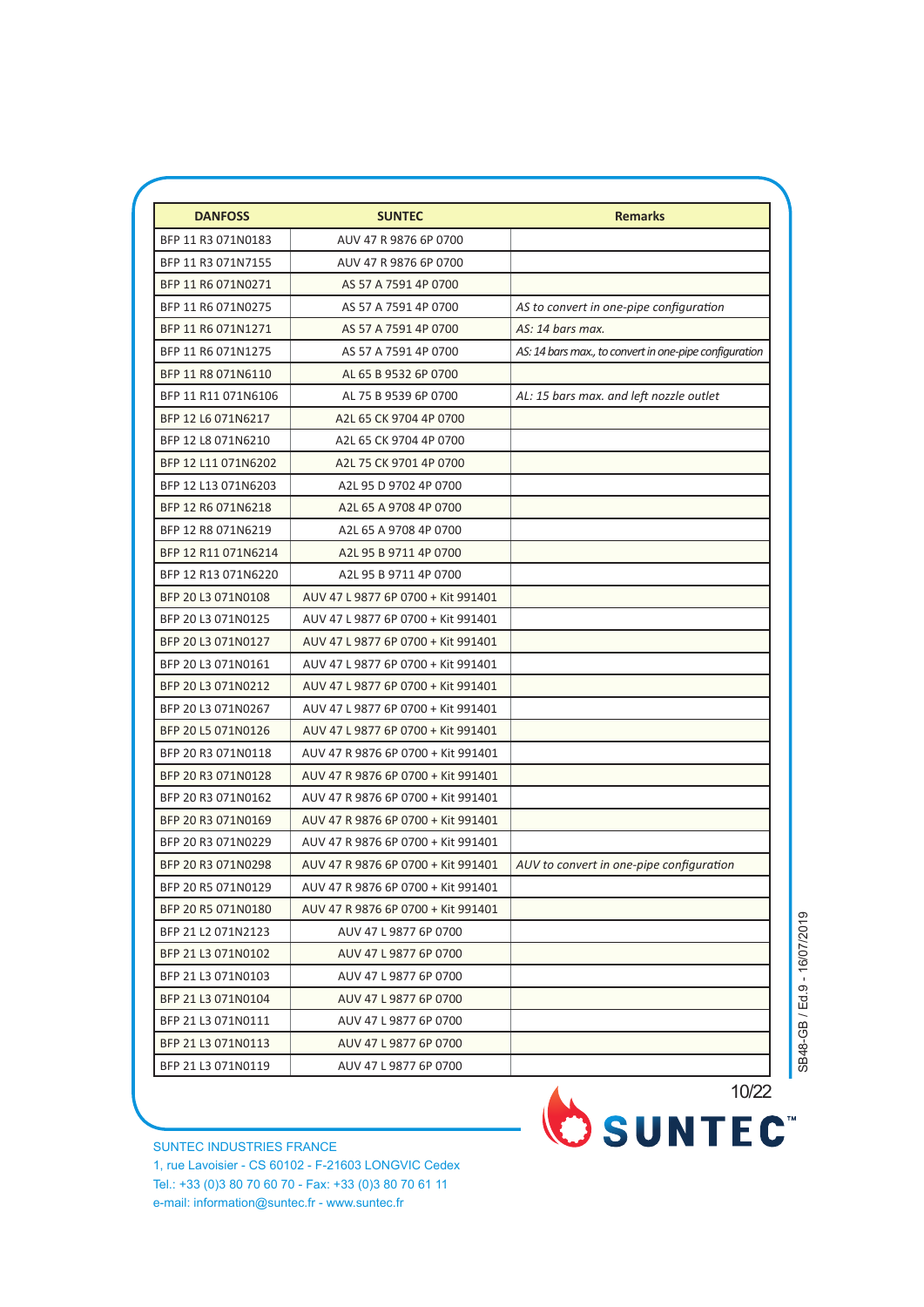| <b>DANFOSS</b>      | <b>SUNTEC</b>                      | <b>Remarks</b>                                         |
|---------------------|------------------------------------|--------------------------------------------------------|
| BFP 11 R3 071N0183  | AUV 47 R 9876 6P 0700              |                                                        |
| BFP 11 R3 071N7155  | AUV 47 R 9876 6P 0700              |                                                        |
| BFP 11 R6 071N0271  | AS 57 A 7591 4P 0700               |                                                        |
| BFP 11 R6 071N0275  | AS 57 A 7591 4P 0700               | AS to convert in one-pipe configuration                |
| BFP 11 R6 071N1271  | AS 57 A 7591 4P 0700               | AS: 14 bars max.                                       |
| BFP 11 R6 071N1275  | AS 57 A 7591 4P 0700               | AS: 14 bars max., to convert in one-pipe configuration |
| BFP 11 R8 071N6110  | AL 65 B 9532 6P 0700               |                                                        |
| BFP 11 R11 071N6106 | AL 75 B 9539 6P 0700               | AL: 15 bars max. and left nozzle outlet                |
| BFP 12 L6 071N6217  | A2L 65 CK 9704 4P 0700             |                                                        |
| BFP 12 L8 071N6210  | A2L 65 CK 9704 4P 0700             |                                                        |
| BFP 12 L11 071N6202 | A2L 75 CK 9701 4P 0700             |                                                        |
| BFP 12 L13 071N6203 | A2L 95 D 9702 4P 0700              |                                                        |
| BFP 12 R6 071N6218  | A2L 65 A 9708 4P 0700              |                                                        |
| BFP 12 R8 071N6219  | A2L 65 A 9708 4P 0700              |                                                        |
| BFP 12 R11 071N6214 | A2L 95 B 9711 4P 0700              |                                                        |
| BFP 12 R13 071N6220 | A2L 95 B 9711 4P 0700              |                                                        |
| BFP 20 L3 071N0108  | AUV 47 L 9877 6P 0700 + Kit 991401 |                                                        |
| BFP 20 L3 071N0125  | AUV 47 L 9877 6P 0700 + Kit 991401 |                                                        |
| BFP 20 L3 071N0127  | AUV 47 L 9877 6P 0700 + Kit 991401 |                                                        |
| BFP 20 L3 071N0161  | AUV 47 L 9877 6P 0700 + Kit 991401 |                                                        |
| BFP 20 L3 071N0212  | AUV 47 L 9877 6P 0700 + Kit 991401 |                                                        |
| BFP 20 L3 071N0267  | AUV 47 L 9877 6P 0700 + Kit 991401 |                                                        |
| BFP 20 L5 071N0126  | AUV 47 L 9877 6P 0700 + Kit 991401 |                                                        |
| BFP 20 R3 071N0118  | AUV 47 R 9876 6P 0700 + Kit 991401 |                                                        |
| BFP 20 R3 071N0128  | AUV 47 R 9876 6P 0700 + Kit 991401 |                                                        |
| BFP 20 R3 071N0162  | AUV 47 R 9876 6P 0700 + Kit 991401 |                                                        |
| BFP 20 R3 071N0169  | AUV 47 R 9876 6P 0700 + Kit 991401 |                                                        |
| BFP 20 R3 071N0229  | AUV 47 R 9876 6P 0700 + Kit 991401 |                                                        |
| BFP 20 R3 071N0298  | AUV 47 R 9876 6P 0700 + Kit 991401 | AUV to convert in one-pipe configuration               |
| BFP 20 R5 071N0129  | AUV 47 R 9876 6P 0700 + Kit 991401 |                                                        |
| BFP 20 R5 071N0180  | AUV 47 R 9876 6P 0700 + Kit 991401 |                                                        |
| BFP 21 L2 071N2123  | AUV 47 L 9877 6P 0700              |                                                        |
| BFP 21 L3 071N0102  | AUV 47 L 9877 6P 0700              |                                                        |
| BFP 21 L3 071N0103  | AUV 47 L 9877 6P 0700              |                                                        |
| BFP 21 L3 071N0104  | AUV 47 L 9877 6P 0700              |                                                        |
| BFP 21 L3 071N0111  | AUV 47 L 9877 6P 0700              |                                                        |
| BFP 21 L3 071N0113  | AUV 47 L 9877 6P 0700              |                                                        |
| BFP 21 L3 071N0119  | AUV 47 L 9877 6P 0700              |                                                        |

10/22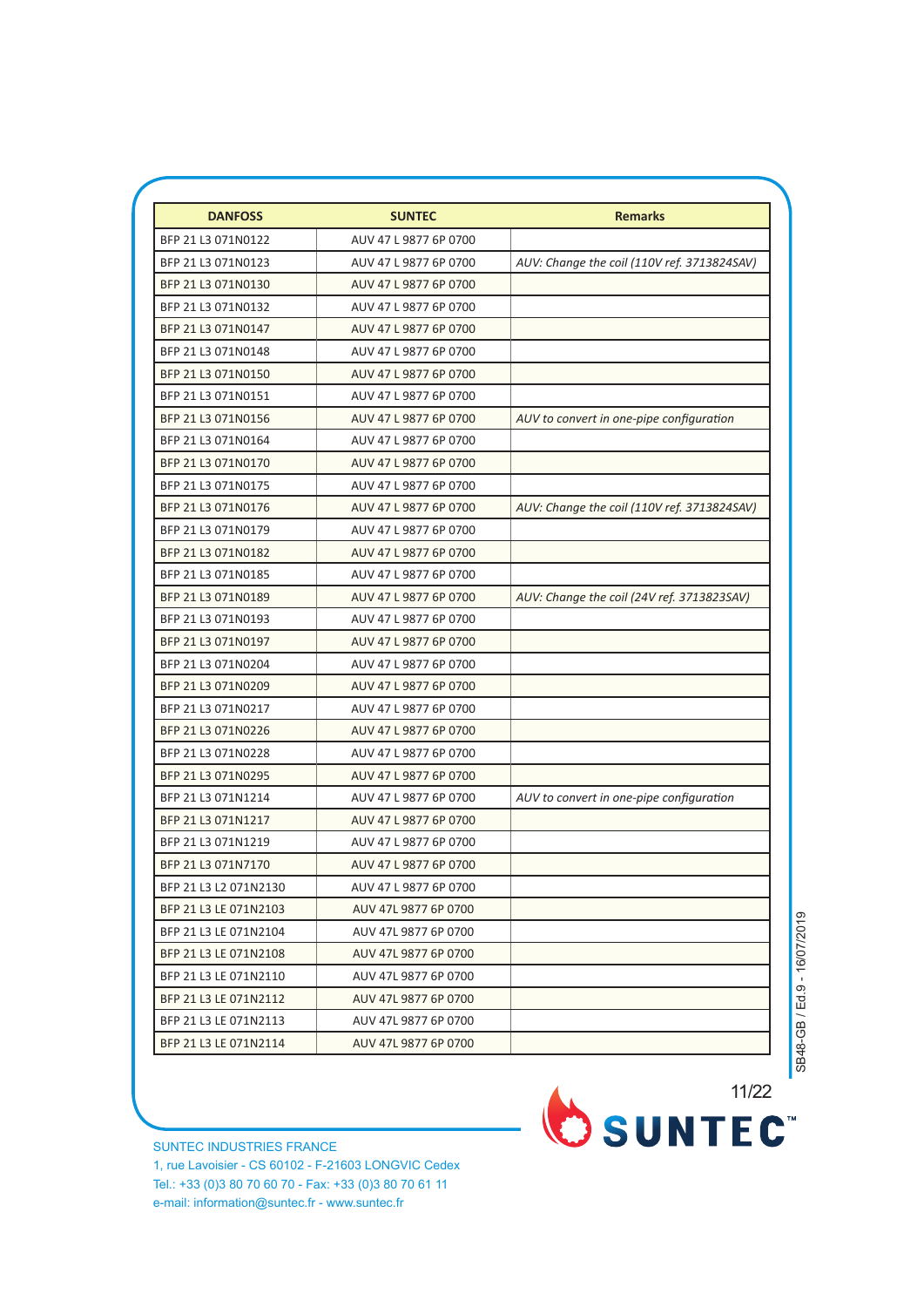| <b>DANFOSS</b>        | <b>SUNTEC</b>         | <b>Remarks</b>                              |
|-----------------------|-----------------------|---------------------------------------------|
| BFP 21 L3 071N0122    | AUV 47 L 9877 6P 0700 |                                             |
| BFP 21 L3 071N0123    | AUV 47 L 9877 6P 0700 | AUV: Change the coil (110V ref. 3713824SAV) |
| BFP 21 L3 071N0130    | AUV 47 L 9877 6P 0700 |                                             |
| BFP 21 L3 071N0132    | AUV 47 L 9877 6P 0700 |                                             |
| BFP 21 L3 071N0147    | AUV 47 L 9877 6P 0700 |                                             |
| BFP 21 L3 071N0148    | AUV 47 L 9877 6P 0700 |                                             |
| BFP 21 L3 071N0150    | AUV 47 L 9877 6P 0700 |                                             |
| BFP 21 L3 071N0151    | AUV 47 L 9877 6P 0700 |                                             |
| BFP 21 L3 071N0156    | AUV 47 L 9877 6P 0700 | AUV to convert in one-pipe configuration    |
| BFP 21 L3 071N0164    | AUV 47 L 9877 6P 0700 |                                             |
| BFP 21 L3 071N0170    | AUV 47 L 9877 6P 0700 |                                             |
| BFP 21 L3 071N0175    | AUV 47 L 9877 6P 0700 |                                             |
| BFP 21 L3 071N0176    | AUV 47 L 9877 6P 0700 | AUV: Change the coil (110V ref. 3713824SAV) |
| BFP 21 L3 071N0179    | AUV 47 L 9877 6P 0700 |                                             |
| BFP 21 L3 071N0182    | AUV 47 L 9877 6P 0700 |                                             |
| BFP 21 L3 071N0185    | AUV 47 L 9877 6P 0700 |                                             |
| BFP 21 L3 071N0189    | AUV 47 L 9877 6P 0700 | AUV: Change the coil (24V ref. 3713823SAV)  |
| BFP 21 L3 071N0193    | AUV 47 L 9877 6P 0700 |                                             |
| BFP 21 L3 071N0197    | AUV 47 L 9877 6P 0700 |                                             |
| BFP 21 L3 071N0204    | AUV 47 L 9877 6P 0700 |                                             |
| BFP 21 L3 071N0209    | AUV 47 L 9877 6P 0700 |                                             |
| BFP 21 L3 071N0217    | AUV 47 L 9877 6P 0700 |                                             |
| BFP 21 L3 071N0226    | AUV 47 L 9877 6P 0700 |                                             |
| BFP 21 L3 071N0228    | AUV 47 L 9877 6P 0700 |                                             |
| BFP 21 L3 071N0295    | AUV 47 L 9877 6P 0700 |                                             |
| BFP 21 L3 071N1214    | AUV 47 L 9877 6P 0700 | AUV to convert in one-pipe configuration    |
| BFP 21 L3 071N1217    | AUV 47 L 9877 6P 0700 |                                             |
| BFP 21 L3 071N1219    | AUV 47 L 9877 6P 0700 |                                             |
| BFP 21 L3 071N7170    | AUV 47 L 9877 6P 0700 |                                             |
| BFP 21 L3 L2 071N2130 | AUV 47 L 9877 6P 0700 |                                             |
| BFP 21 L3 LE 071N2103 | AUV 47L 9877 6P 0700  |                                             |
| BFP 21 L3 LE 071N2104 | AUV 47L 9877 6P 0700  |                                             |
| BFP 21 L3 LE 071N2108 | AUV 47L 9877 6P 0700  |                                             |
| BFP 21 L3 LE 071N2110 | AUV 47L 9877 6P 0700  |                                             |
| BFP 21 L3 LE 071N2112 | AUV 47L 9877 6P 0700  |                                             |
| BFP 21 L3 LE 071N2113 | AUV 47L 9877 6P 0700  |                                             |
| BFP 21 L3 LE 071N2114 | AUV 47L 9877 6P 0700  |                                             |

SUNTEC INDUSTRIES FRANCE 1, rue Lavoisier - CS 60102 - F-21603 LONGVIC Cedex Tel.: +33 (0)3 80 70 60 70 - Fax: +33 (0)3 80 70 61 11 e-mail: information@suntec.fr - www.suntec.fr

3/7 11/22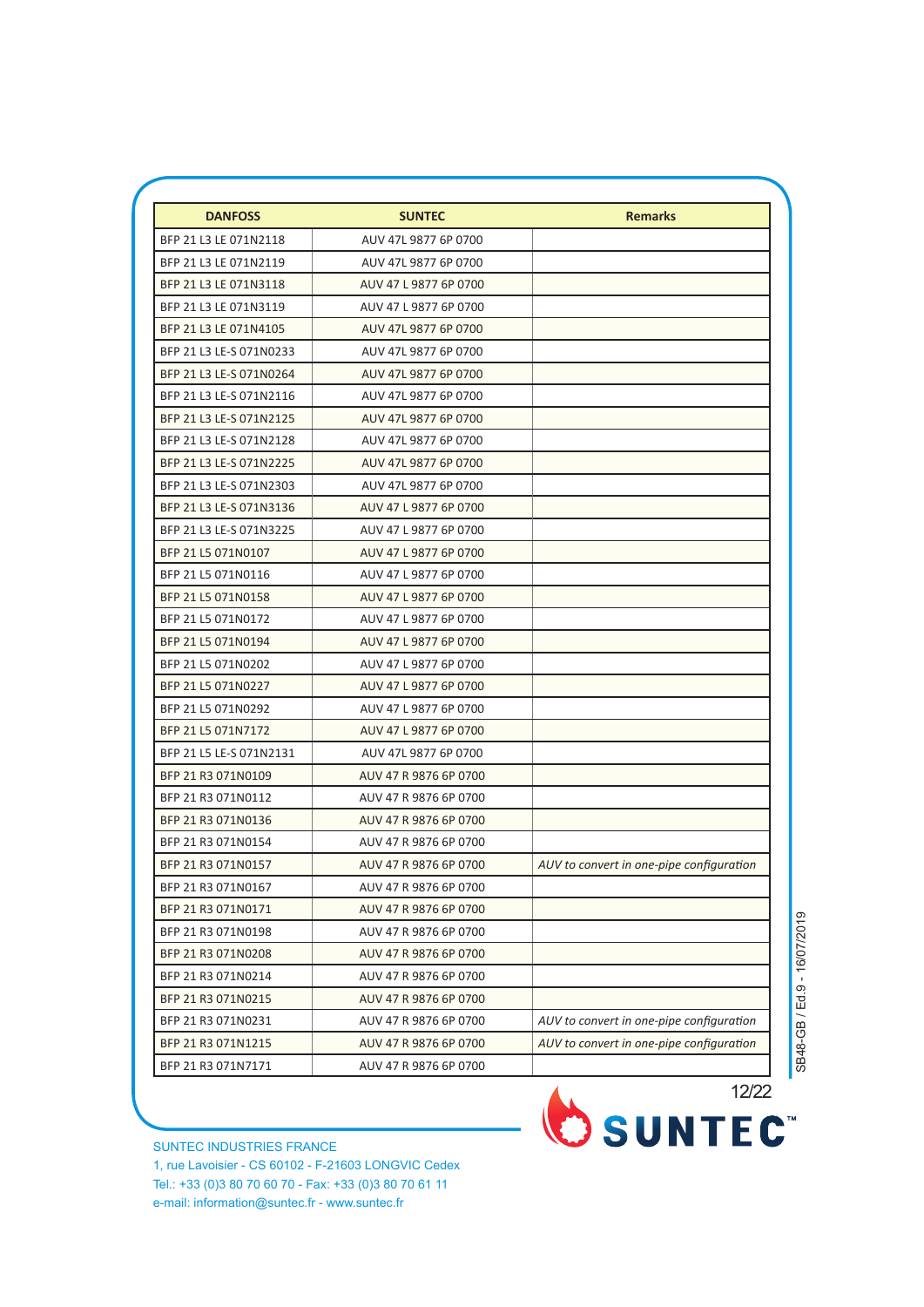| <b>DANFOSS</b>          | <b>SUNTEC</b>         | <b>Remarks</b>                           |
|-------------------------|-----------------------|------------------------------------------|
| BFP 21 L3 LE 071N2118   | AUV 47L 9877 6P 0700  |                                          |
| BFP 21 L3 LE 071N2119   | AUV 47L 9877 6P 0700  |                                          |
| BFP 21 L3 LE 071N3118   | AUV 47 L 9877 6P 0700 |                                          |
| BFP 21 L3 LE 071N3119   | AUV 47 L 9877 6P 0700 |                                          |
| BFP 21 L3 LE 071N4105   | AUV 47L 9877 6P 0700  |                                          |
| BFP 21 L3 LE-S 071N0233 | AUV 47L 9877 6P 0700  |                                          |
| BFP 21 L3 LE-S 071N0264 | AUV 47L 9877 6P 0700  |                                          |
| BFP 21 L3 LE-S 071N2116 | AUV 47L 9877 6P 0700  |                                          |
| BFP 21 L3 LE-S 071N2125 | AUV 47L 9877 6P 0700  |                                          |
| BFP 21 L3 LE-S 071N2128 | AUV 47L 9877 6P 0700  |                                          |
| BFP 21 L3 LE-S 071N2225 | AUV 47L 9877 6P 0700  |                                          |
| BFP 21 L3 LE-S 071N2303 | AUV 47L 9877 6P 0700  |                                          |
| BFP 21 L3 LE-S 071N3136 | AUV 47 L 9877 6P 0700 |                                          |
| BFP 21 L3 LE-S 071N3225 | AUV 47 L 9877 6P 0700 |                                          |
| BFP 21 L5 071N0107      | AUV 47 L 9877 6P 0700 |                                          |
| BFP 21 L5 071N0116      | AUV 47 L 9877 6P 0700 |                                          |
| BFP 21 L5 071N0158      | AUV 47 L 9877 6P 0700 |                                          |
| BFP 21 L5 071N0172      | AUV 47 L 9877 6P 0700 |                                          |
| BFP 21 L5 071N0194      | AUV 47 L 9877 6P 0700 |                                          |
| BFP 21 L5 071N0202      | AUV 47 L 9877 6P 0700 |                                          |
| BFP 21 L5 071N0227      | AUV 47 L 9877 6P 0700 |                                          |
| BFP 21 L5 071N0292      | AUV 47 L 9877 6P 0700 |                                          |
| BFP 21 L5 071N7172      | AUV 47 L 9877 6P 0700 |                                          |
| BFP 21 L5 LE-S 071N2131 | AUV 47L 9877 6P 0700  |                                          |
| BFP 21 R3 071N0109      | AUV 47 R 9876 6P 0700 |                                          |
| BFP 21 R3 071N0112      | AUV 47 R 9876 6P 0700 |                                          |
| BFP 21 R3 071N0136      | AUV 47 R 9876 6P 0700 |                                          |
| BFP 21 R3 071N0154      | AUV 47 R 9876 6P 0700 |                                          |
| BFP 21 R3 071N0157      | AUV 47 R 9876 6P 0700 | AUV to convert in one-pipe configuration |
| BFP 21 R3 071N0167      | AUV 47 R 9876 6P 0700 |                                          |
| BFP 21 R3 071N0171      | AUV 47 R 9876 6P 0700 |                                          |
| BFP 21 R3 071N0198      | AUV 47 R 9876 6P 0700 |                                          |
| BFP 21 R3 071N0208      | AUV 47 R 9876 6P 0700 |                                          |
| BFP 21 R3 071N0214      | AUV 47 R 9876 6P 0700 |                                          |
| BFP 21 R3 071N0215      | AUV 47 R 9876 6P 0700 |                                          |
| BFP 21 R3 071N0231      | AUV 47 R 9876 6P 0700 | AUV to convert in one-pipe configuration |
| BFP 21 R3 071N1215      | AUV 47 R 9876 6P 0700 | AUV to convert in one-pipe configuration |
| BFP 21 R3 071N7171      | AUV 47 R 9876 6P 0700 |                                          |

SUNTEC INDUSTRIES FRANCE 1, rue Lavoisier - CS 60102 - F-21603 LONGVIC Cedex Tel.: +33 (0)3 80 70 60 70 - Fax: +33 (0)3 80 70 61 11 e-mail: information@suntec.fr - www.suntec.fr

12/22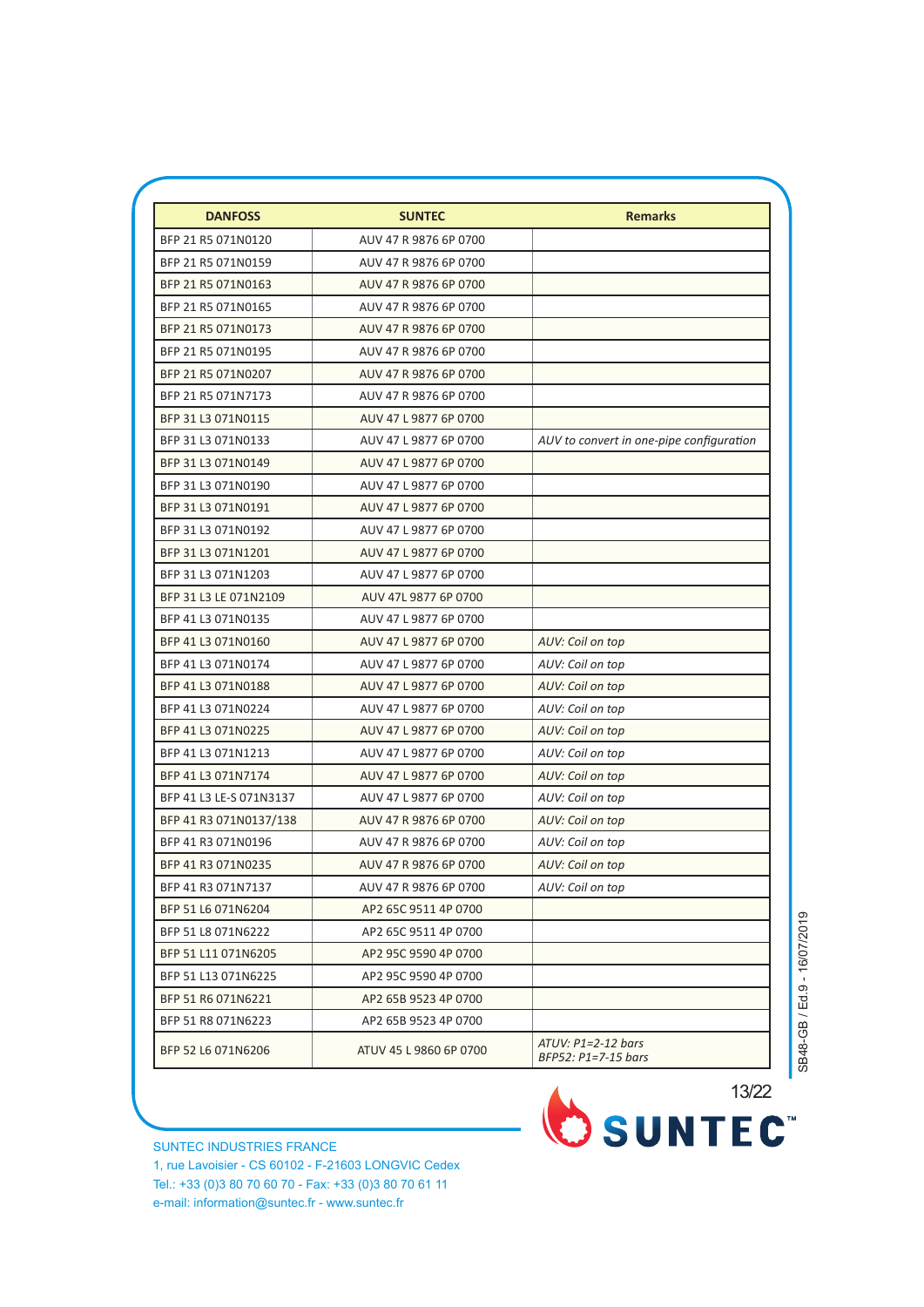| <b>DANFOSS</b>          | <b>SUNTEC</b>          | <b>Remarks</b>                              |
|-------------------------|------------------------|---------------------------------------------|
| BFP 21 R5 071N0120      | AUV 47 R 9876 6P 0700  |                                             |
| BFP 21 R5 071N0159      | AUV 47 R 9876 6P 0700  |                                             |
| BFP 21 R5 071N0163      | AUV 47 R 9876 6P 0700  |                                             |
| BFP 21 R5 071N0165      | AUV 47 R 9876 6P 0700  |                                             |
| BFP 21 R5 071N0173      | AUV 47 R 9876 6P 0700  |                                             |
| BFP 21 R5 071N0195      | AUV 47 R 9876 6P 0700  |                                             |
| BFP 21 R5 071N0207      | AUV 47 R 9876 6P 0700  |                                             |
| BFP 21 R5 071N7173      | AUV 47 R 9876 6P 0700  |                                             |
| BFP 31 L3 071N0115      | AUV 47 L 9877 6P 0700  |                                             |
| BFP 31 L3 071N0133      | AUV 47 L 9877 6P 0700  | AUV to convert in one-pipe configuration    |
| BFP 31 L3 071N0149      | AUV 47 L 9877 6P 0700  |                                             |
| BFP 31 L3 071N0190      | AUV 47 L 9877 6P 0700  |                                             |
| BFP 31 L3 071N0191      | AUV 47 L 9877 6P 0700  |                                             |
| BFP 31 L3 071N0192      | AUV 47 L 9877 6P 0700  |                                             |
| BFP 31 L3 071N1201      | AUV 47 L 9877 6P 0700  |                                             |
| BFP 31 L3 071N1203      | AUV 47 L 9877 6P 0700  |                                             |
| BFP 31 L3 LE 071N2109   | AUV 47L 9877 6P 0700   |                                             |
| BFP 41 L3 071N0135      | AUV 47 L 9877 6P 0700  |                                             |
| BFP 41 L3 071N0160      | AUV 47 L 9877 6P 0700  | AUV: Coil on top                            |
| BFP 41 L3 071N0174      | AUV 47 L 9877 6P 0700  | AUV: Coil on top                            |
| BFP 41 L3 071N0188      | AUV 47 L 9877 6P 0700  | AUV: Coil on top                            |
| BFP 41 L3 071N0224      | AUV 47 L 9877 6P 0700  | AUV: Coil on top                            |
| BFP 41 L3 071N0225      | AUV 47 L 9877 6P 0700  | AUV: Coil on top                            |
| BFP 41 L3 071N1213      | AUV 47 L 9877 6P 0700  | AUV: Coil on top                            |
| BFP 41 L3 071N7174      | AUV 47 L 9877 6P 0700  | AUV: Coil on top                            |
| BFP 41 L3 LE-S 071N3137 | AUV 47 L 9877 6P 0700  | AUV: Coil on top                            |
| BFP 41 R3 071N0137/138  | AUV 47 R 9876 6P 0700  | AUV: Coil on top                            |
| BFP 41 R3 071N0196      | AUV 47 R 9876 6P 0700  | AUV: Coil on top                            |
| BFP 41 R3 071N0235      | AUV 47 R 9876 6P 0700  | AUV: Coil on top                            |
| BFP 41 R3 071N7137      | AUV 47 R 9876 6P 0700  | AUV: Coil on top                            |
| BFP 51 L6 071N6204      | AP2 65C 9511 4P 0700   |                                             |
| BFP 51 L8 071N6222      | AP2 65C 9511 4P 0700   |                                             |
| BFP 51 L11 071N6205     | AP2 95C 9590 4P 0700   |                                             |
| BFP 51 L13 071N6225     | AP2 95C 9590 4P 0700   |                                             |
| BFP 51 R6 071N6221      | AP2 65B 9523 4P 0700   |                                             |
| BFP 51 R8 071N6223      | AP2 65B 9523 4P 0700   |                                             |
| BFP 52 L6 071N6206      | ATUV 45 L 9860 6P 0700 | $ATUV: P1=2-12 bars$<br>BFP52: P1=7-15 bars |

SUNTEC INDUSTRIES FRANCE 1, rue Lavoisier - CS 60102 - F-21603 LONGVIC Cedex Tel.: +33 (0)3 80 70 60 70 - Fax: +33 (0)3 80 70 61 11 e-mail: information@suntec.fr - www.suntec.fr

13/22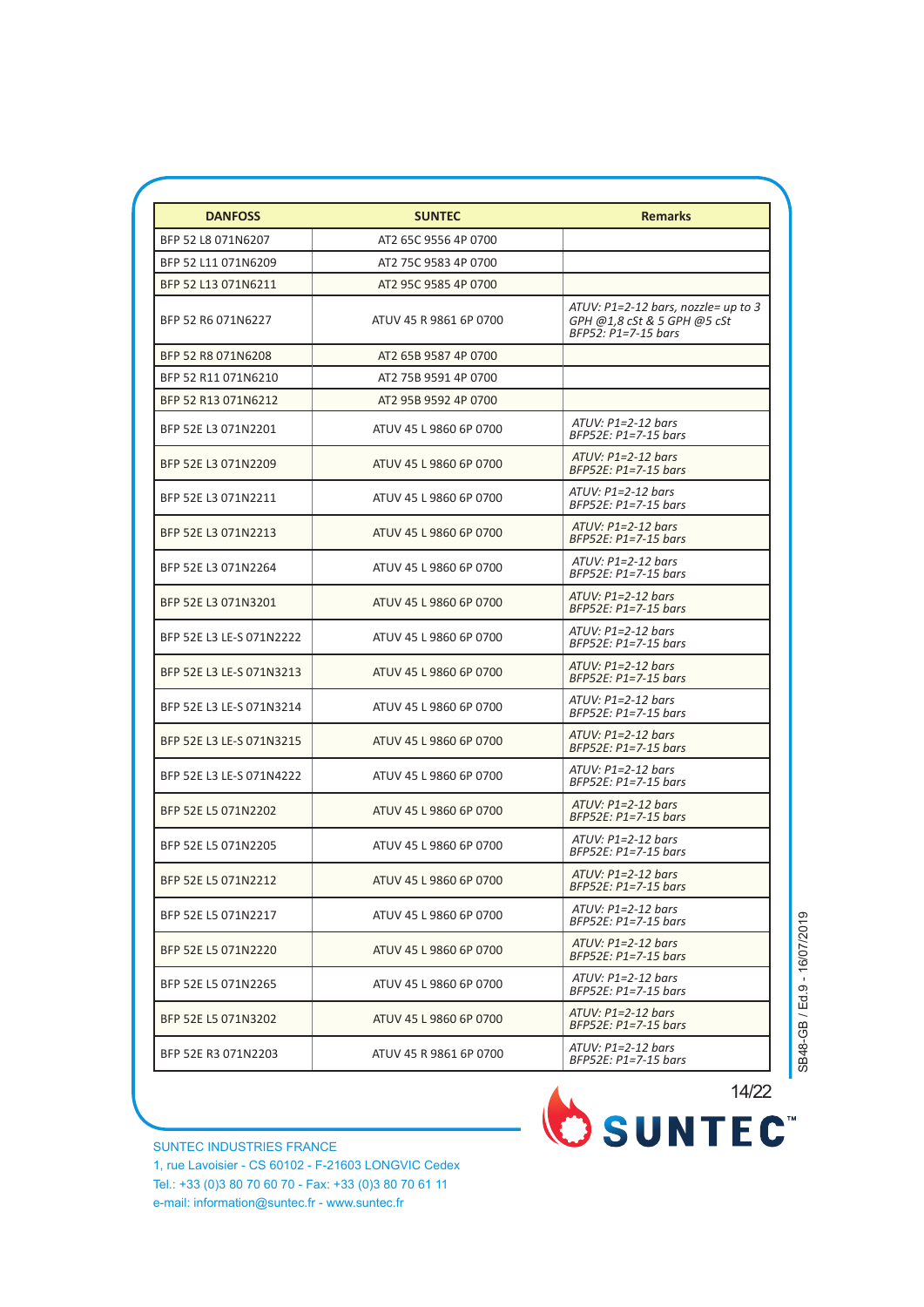| <b>DANFOSS</b>           | <b>SUNTEC</b>          | <b>Remarks</b>                                                                            |
|--------------------------|------------------------|-------------------------------------------------------------------------------------------|
| BFP 52 L8 071N6207       | AT2 65C 9556 4P 0700   |                                                                                           |
| BFP 52 L11 071N6209      | AT2 75C 9583 4P 0700   |                                                                                           |
| BFP 52 L13 071N6211      | AT2 95C 9585 4P 0700   |                                                                                           |
| BFP 52 R6 071N6227       | ATUV 45 R 9861 6P 0700 | ATUV: P1=2-12 bars, nozzle= up to 3<br>GPH @1,8 cSt & 5 GPH @5 cSt<br>BFP52: P1=7-15 bars |
| BFP 52 R8 071N6208       | AT2 65B 9587 4P 0700   |                                                                                           |
| BFP 52 R11 071N6210      | AT2 75B 9591 4P 0700   |                                                                                           |
| BFP 52 R13 071N6212      | AT2 95B 9592 4P 0700   |                                                                                           |
| BFP 52E L3 071N2201      | ATUV 45 L 9860 6P 0700 | $ATUV: P1=2-12 bars$<br>BFP52E: P1=7-15 bars                                              |
| BFP 52E L3 071N2209      | ATUV 45 L 9860 6P 0700 | $ATUV: P1=2-12 bars$<br>BFP52E: P1=7-15 bars                                              |
| BFP 52E L3 071N2211      | ATUV 45 L 9860 6P 0700 | $ATUV: P1=2-12 bars$<br>BFP52E: P1=7-15 bars                                              |
| BFP 52E L3 071N2213      | ATUV 45 L 9860 6P 0700 | $ATUV: P1=2-12 bars$<br>BFP52E: P1=7-15 bars                                              |
| BFP 52E L3 071N2264      | ATUV 45 L 9860 6P 0700 | $ATUV: P1=2-12 bars$<br>BFP52E: P1=7-15 bars                                              |
| BFP 52E L3 071N3201      | ATUV 45 L 9860 6P 0700 | $ATUV: P1=2-12 bars$<br>BFP52E: P1=7-15 bars                                              |
| BFP 52E L3 LE-S 071N2222 | ATUV 45 L 9860 6P 0700 | $ATUV: P1=2-12 bars$<br>BFP52E: P1=7-15 bars                                              |
| BFP 52E L3 LE-S 071N3213 | ATUV 45 L 9860 6P 0700 | $ATUV: P1=2-12 bars$<br>BFP52E: P1=7-15 bars                                              |
| BFP 52E L3 LE-S 071N3214 | ATUV 45 L 9860 6P 0700 | $ATUV: P1=2-12 bars$<br>BFP52E: P1=7-15 bars                                              |
| BFP 52E L3 LE-S 071N3215 | ATUV 45 L 9860 6P 0700 | $ATUV: P1=2-12 bars$<br>$BFP52E: P1=7-15$ bars                                            |
| BFP 52E L3 LE-S 071N4222 | ATUV 45 L 9860 6P 0700 | $ATUV: P1=2-12 bars$<br>BFP52E: P1=7-15 bars                                              |
| BFP 52E L5 071N2202      | ATUV 45 L 9860 6P 0700 | $ATUV: P1=2-12 bars$<br>BFP52E: P1=7-15 bars                                              |
| BFP 52E L5 071N2205      | ATUV 45 L 9860 6P 0700 | $ATUV: P1=2-12 bars$<br>BFP52E: P1=7-15 bars                                              |
| BFP 52E L5 071N2212      | ATUV 45 L 9860 6P 0700 | $ATUV: P1=2-12 bars$<br>BFP52E: P1=7-15 bars                                              |
| BFP 52E L5 071N2217      | ATUV 45 L 9860 6P 0700 | $ATUV: P1=2-12 bars$<br>BFP52E: P1=7-15 bars                                              |
| BFP 52E L5 071N2220      | ATUV 45 L 9860 6P 0700 | $ATUV: P1=2-12 bars$<br>BFP52E: P1=7-15 bars                                              |
| BFP 52E L5 071N2265      | ATUV 45 L 9860 6P 0700 | $ATUV: P1=2-12 bars$<br>BFP52E: P1=7-15 bars                                              |
| BFP 52E L5 071N3202      | ATUV 45 L 9860 6P 0700 | $ATUV: P1=2-12 bars$<br>BFP52E: P1=7-15 bars                                              |
| BFP 52E R3 071N2203      | ATUV 45 R 9861 6P 0700 | ATUV: P1=2-12 bars<br>BFP52E: P1=7-15 bars                                                |
|                          |                        |                                                                                           |

6/7 14/22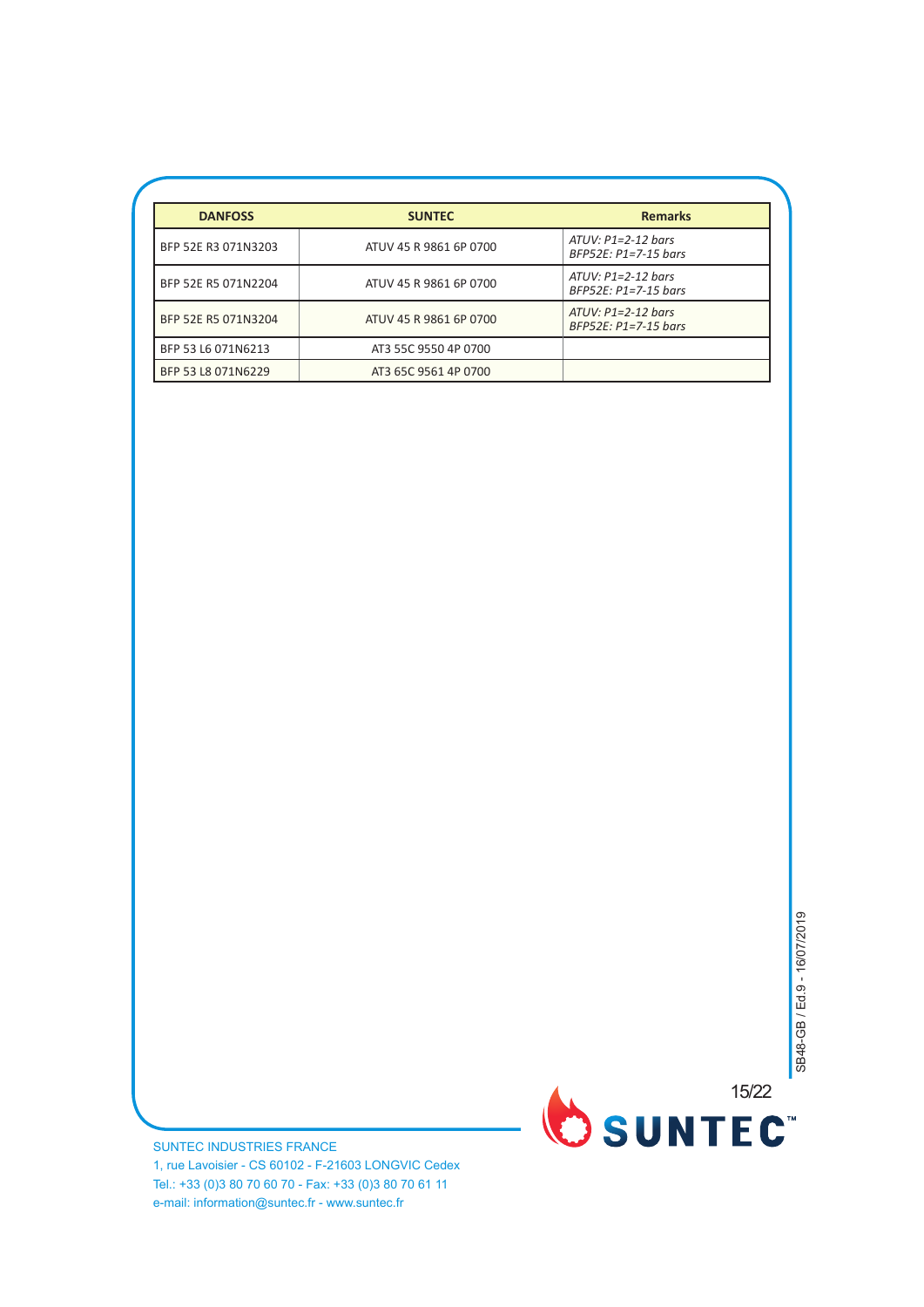| <b>DANFOSS</b>      | <b>SUNTEC</b>          | <b>Remarks</b>                                 |
|---------------------|------------------------|------------------------------------------------|
| BFP 52E R3 071N3203 | ATUV 45 R 9861 6P 0700 | $ATUV: P1=2-12$ bars<br>BFP52E: P1=7-15 bars   |
| BFP 52E R5 071N2204 | ATUV 45 R 9861 6P 0700 | $ATUV: P1=2-12 bars$<br>BFP52E: P1=7-15 bars   |
| BFP 52E R5 071N3204 | ATUV 45 R 9861 6P 0700 | $ATUV: P1=2-12 bars$<br>$BFP52E: P1=7-15 bars$ |
| BFP 53 L6 071N6213  | AT3 55C 9550 4P 0700   |                                                |
| BFP 53 L8 071N6229  | AT3 65C 9561 4P 0700   |                                                |

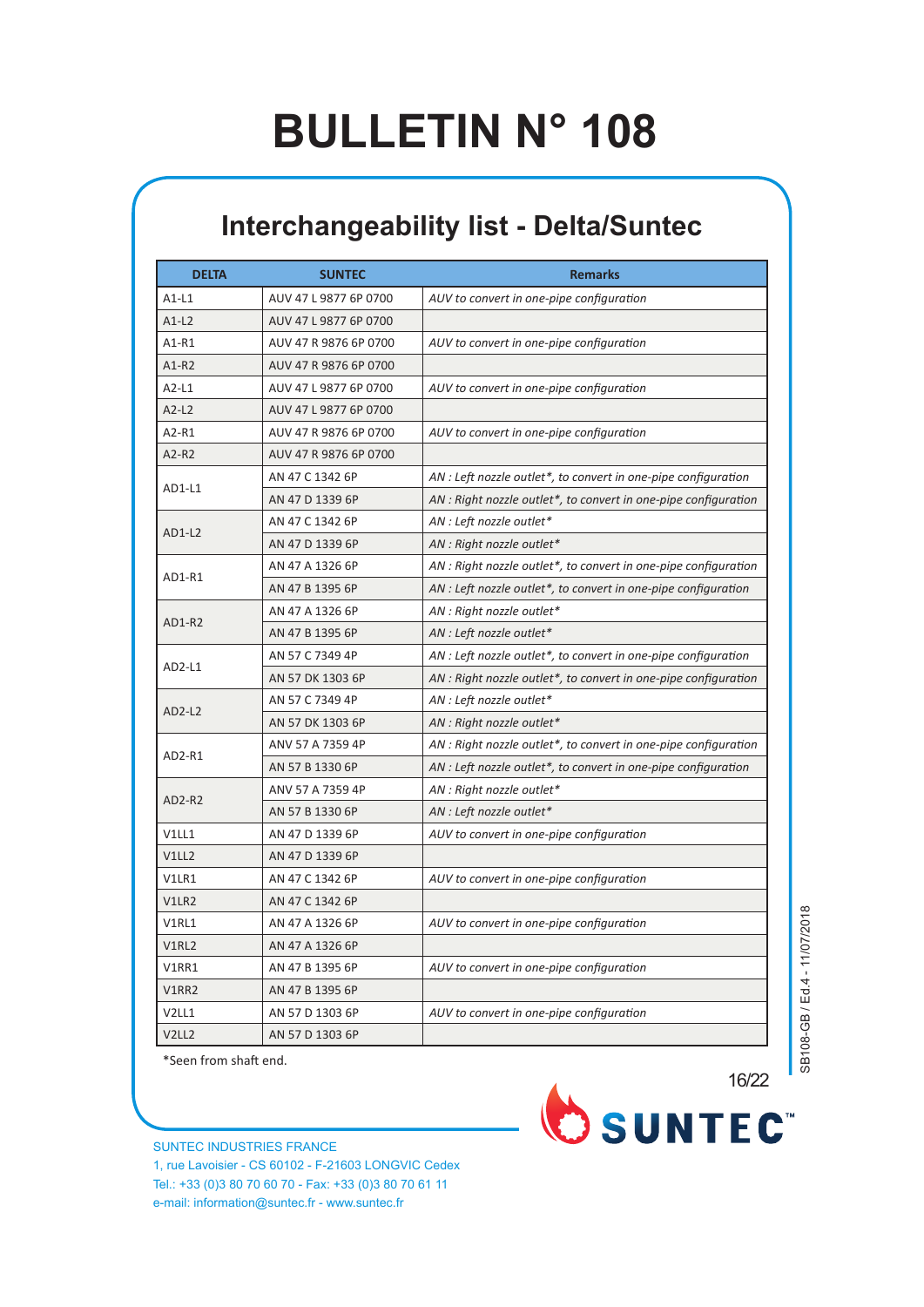#### **Interchangeability list - Delta/Suntec**

| <b>DELTA</b> | <b>SUNTEC</b>         | <b>Remarks</b>                                                  |
|--------------|-----------------------|-----------------------------------------------------------------|
| $A1-L1$      | AUV 47 L 9877 6P 0700 | AUV to convert in one-pipe configuration                        |
| $A1-L2$      | AUV 47 L 9877 6P 0700 |                                                                 |
| A1-R1        | AUV 47 R 9876 6P 0700 | AUV to convert in one-pipe configuration                        |
| $A1-R2$      | AUV 47 R 9876 6P 0700 |                                                                 |
| $A2-L1$      | AUV 47 L 9877 6P 0700 | AUV to convert in one-pipe configuration                        |
| $A2-L2$      | AUV 47 L 9877 6P 0700 |                                                                 |
| A2-R1        | AUV 47 R 9876 6P 0700 | AUV to convert in one-pipe configuration                        |
| A2-R2        | AUV 47 R 9876 6P 0700 |                                                                 |
|              | AN 47 C 1342 6P       | AN : Left nozzle outlet*, to convert in one-pipe configuration  |
| AD1-L1       | AN 47 D 1339 6P       | AN : Right nozzle outlet*, to convert in one-pipe configuration |
|              | AN 47 C 1342 6P       | AN : Left nozzle outlet*                                        |
| AD1-L2       | AN 47 D 1339 6P       | AN : Right nozzle outlet*                                       |
|              | AN 47 A 1326 6P       | AN : Right nozzle outlet*, to convert in one-pipe configuration |
| AD1-R1       | AN 47 B 1395 6P       | AN : Left nozzle outlet*, to convert in one-pipe configuration  |
|              | AN 47 A 1326 6P       | AN : Right nozzle outlet*                                       |
| AD1-R2       | AN 47 B 1395 6P       | AN : Left nozzle outlet*                                        |
|              | AN 57 C 7349 4P       | AN : Left nozzle outlet*, to convert in one-pipe configuration  |
| AD2-L1       | AN 57 DK 1303 6P      | AN : Right nozzle outlet*, to convert in one-pipe configuration |
|              | AN 57 C 7349 4P       | AN : Left nozzle outlet*                                        |
| AD2-L2       | AN 57 DK 1303 6P      | AN : Right nozzle outlet*                                       |
|              | ANV 57 A 7359 4P      | AN : Right nozzle outlet*, to convert in one-pipe configuration |
| AD2-R1       | AN 57 B 1330 6P       | AN : Left nozzle outlet*, to convert in one-pipe configuration  |
|              | ANV 57 A 7359 4P      | AN : Right nozzle outlet*                                       |
| AD2-R2       | AN 57 B 1330 6P       | AN : Left nozzle outlet*                                        |
| V1LL1        | AN 47 D 1339 6P       | AUV to convert in one-pipe configuration                        |
| V1LL2        | AN 47 D 1339 6P       |                                                                 |
| V1LR1        | AN 47 C 1342 6P       | AUV to convert in one-pipe configuration                        |
| V1LR2        | AN 47 C 1342 6P       |                                                                 |
| V1RL1        | AN 47 A 1326 6P       | AUV to convert in one-pipe configuration                        |
| V1RL2        | AN 47 A 1326 6P       |                                                                 |
| V1RR1        | AN 47 B 1395 6P       | AUV to convert in one-pipe configuration                        |
| V1RR2        | AN 47 B 1395 6P       |                                                                 |
| V2LL1        | AN 57 D 1303 6P       | AUV to convert in one-pipe configuration                        |
| V2LL2        | AN 57 D 1303 6P       |                                                                 |

\*Seen from shaft end.

SUNTEC INDUSTRIES FRANCE 1, rue Lavoisier - CS 60102 - F-21603 LONGVIC Cedex Tel.: +33 (0)3 80 70 60 70 - Fax: +33 (0)3 80 70 61 11 e-mail: information@suntec.fr - www.suntec.fr

SB108-GB / Ed.4 - 11/07/2018 SB108-GB / Ed.4 - 11/07/2018

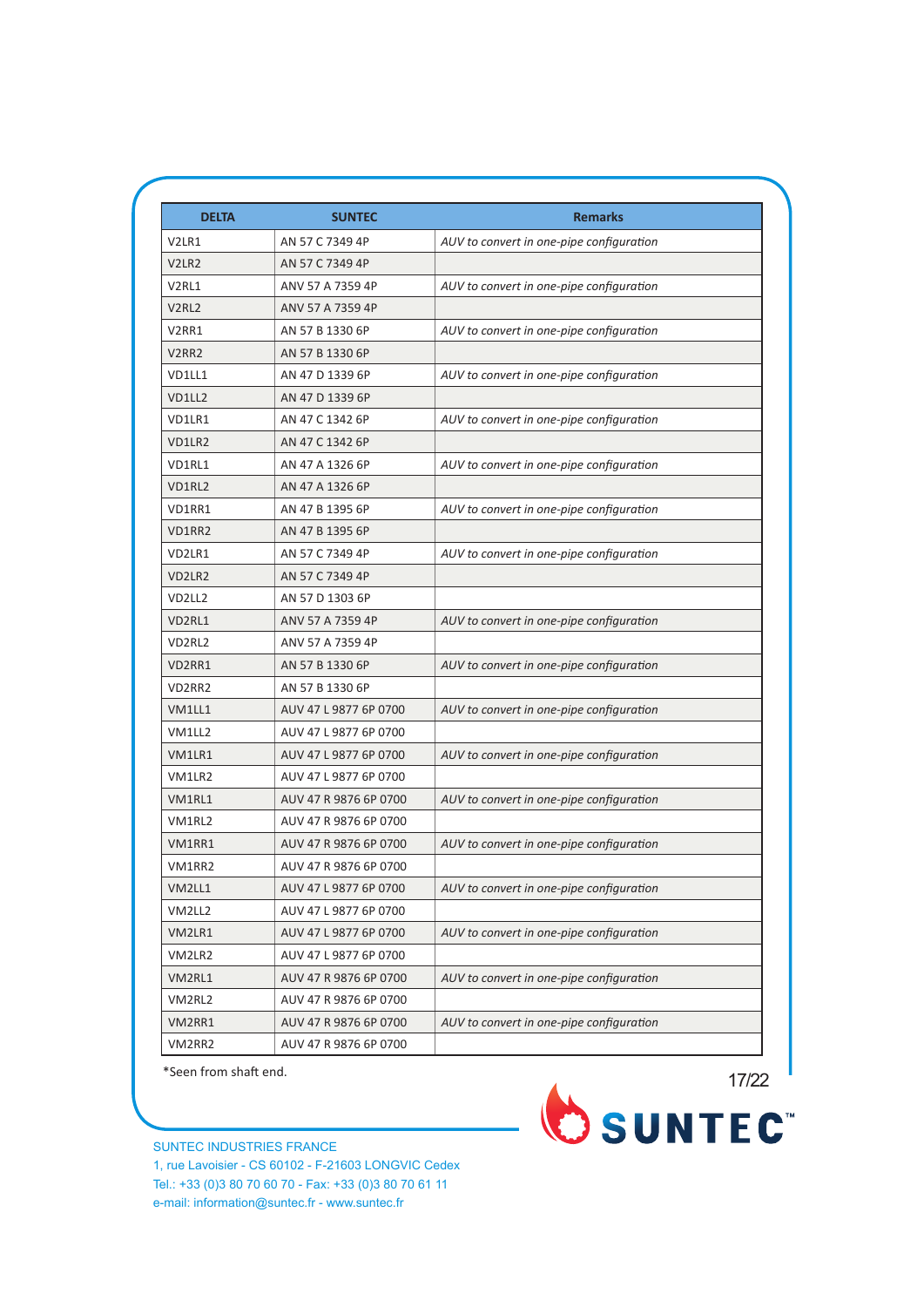| <b>DELTA</b>                    | <b>SUNTEC</b>         | <b>Remarks</b>                           |
|---------------------------------|-----------------------|------------------------------------------|
| V2LR1                           | AN 57 C 7349 4P       | AUV to convert in one-pipe configuration |
| V <sub>2</sub> LR <sub>2</sub>  | AN 57 C 7349 4P       |                                          |
| V <sub>2</sub> RL <sub>1</sub>  | ANV 57 A 7359 4P      | AUV to convert in one-pipe configuration |
| V <sub>2</sub> RL <sub>2</sub>  | ANV 57 A 7359 4P      |                                          |
| V <sub>2</sub> RR <sub>1</sub>  | AN 57 B 1330 6P       | AUV to convert in one-pipe configuration |
| V <sub>2</sub> RR <sub>2</sub>  | AN 57 B 1330 6P       |                                          |
| VD1LL1                          | AN 47 D 1339 6P       | AUV to convert in one-pipe configuration |
| <b>VD1112</b>                   | AN 47 D 1339 6P       |                                          |
| VD1LR1                          | AN 47 C 1342 6P       | AUV to convert in one-pipe configuration |
| VD1LR2                          | AN 47 C 1342 6P       |                                          |
| VD1RL1                          | AN 47 A 1326 6P       | AUV to convert in one-pipe configuration |
| VD1RL2                          | AN 47 A 1326 6P       |                                          |
| VD1RR1                          | AN 47 B 1395 6P       | AUV to convert in one-pipe configuration |
| VD1RR2                          | AN 47 B 1395 6P       |                                          |
| VD2LR1                          | AN 57 C 7349 4P       | AUV to convert in one-pipe configuration |
| VD2LR2                          | AN 57 C 7349 4P       |                                          |
| VD2LL2                          | AN 57 D 1303 6P       |                                          |
| VD2RL1                          | ANV 57 A 7359 4P      | AUV to convert in one-pipe configuration |
| VD <sub>2</sub> RL <sub>2</sub> | ANV 57 A 7359 4P      |                                          |
| VD2RR1                          | AN 57 B 1330 6P       | AUV to convert in one-pipe configuration |
| VD2RR2                          | AN 57 B 1330 6P       |                                          |
| VM1LL1                          | AUV 47 L 9877 6P 0700 | AUV to convert in one-pipe configuration |
| VM1LL2                          | AUV 47 L 9877 6P 0700 |                                          |
| VM1LR1                          | AUV 47 L 9877 6P 0700 | AUV to convert in one-pipe configuration |
| VM1LR2                          | AUV 47 L 9877 6P 0700 |                                          |
| VM1RL1                          | AUV 47 R 9876 6P 0700 | AUV to convert in one-pipe configuration |
| VM1RL2                          | AUV 47 R 9876 6P 0700 |                                          |
| VM1RR1                          | AUV 47 R 9876 6P 0700 | AUV to convert in one-pipe configuration |
| VM1RR2                          | AUV 47 R 9876 6P 0700 |                                          |
| VM2LL1                          | AUV 47 L 9877 6P 0700 | AUV to convert in one-pipe configuration |
| VM2LL2                          | AUV 47 L 9877 6P 0700 |                                          |
| VM2LR1                          | AUV 47 L 9877 6P 0700 | AUV to convert in one-pipe configuration |
| VM2LR2                          | AUV 47 L 9877 6P 0700 |                                          |
| VM2RL1                          | AUV 47 R 9876 6P 0700 | AUV to convert in one-pipe configuration |
| VM2RL2                          | AUV 47 R 9876 6P 0700 |                                          |
| VM2RR1                          | AUV 47 R 9876 6P 0700 | AUV to convert in one-pipe configuration |
| VM2RR2                          | AUV 47 R 9876 6P 0700 |                                          |

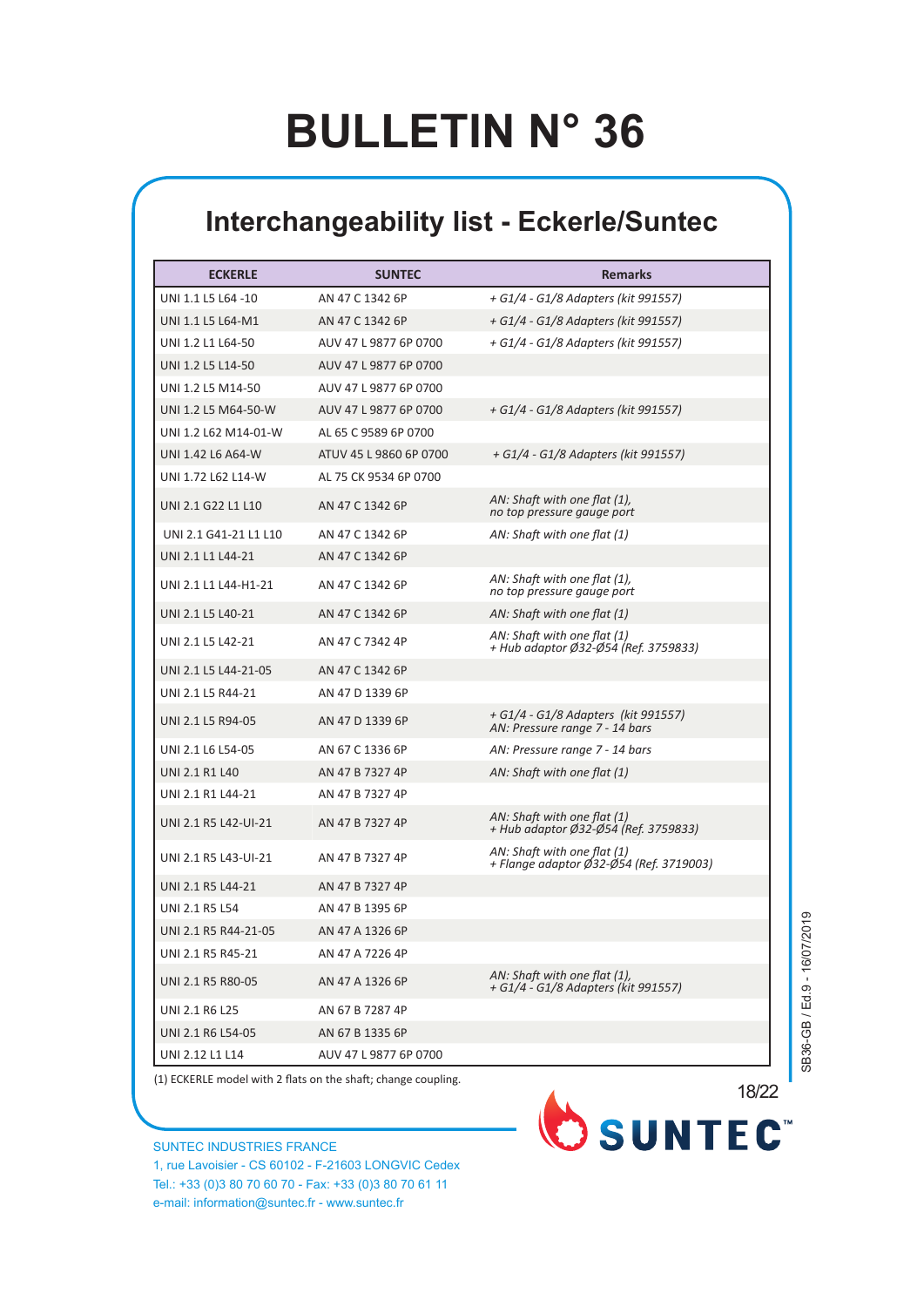#### **Interchangeability list - Eckerle/Suntec**

| <b>ECKERLE</b>        | <b>SUNTEC</b>          | <b>Remarks</b>                                                         |
|-----------------------|------------------------|------------------------------------------------------------------------|
| UNI 1.1 L5 L64 -10    | AN 47 C 1342 6P        | + G1/4 - G1/8 Adapters (kit 991557)                                    |
| UNI 1.1 L5 L64-M1     | AN 47 C 1342 6P        | + G1/4 - G1/8 Adapters (kit 991557)                                    |
| UNI 1.2 L1 L64-50     | AUV 47 L 9877 6P 0700  | + G1/4 - G1/8 Adapters (kit 991557)                                    |
| UNI 1.2 L5 L14-50     | AUV 47 L 9877 6P 0700  |                                                                        |
| UNI 1.2 L5 M14-50     | AUV 47 L 9877 6P 0700  |                                                                        |
| UNI 1.2 L5 M64-50-W   | AUV 47 L 9877 6P 0700  | + G1/4 - G1/8 Adapters (kit 991557)                                    |
| UNI 1.2 L62 M14-01-W  | AL 65 C 9589 6P 0700   |                                                                        |
| UNI 1.42 L6 A64-W     | ATUV 45 L 9860 6P 0700 | + G1/4 - G1/8 Adapters (kit 991557)                                    |
| UNI 1.72 L62 L14-W    | AL 75 CK 9534 6P 0700  |                                                                        |
| UNI 2.1 G22 L1 L10    | AN 47 C 1342 6P        | AN: Shaft with one flat (1),<br>no top pressure gauge port             |
| UNI 2.1 G41-21 L1 L10 | AN 47 C 1342 6P        | AN: Shaft with one flat (1)                                            |
| UNI 2.1 L1 L44-21     | AN 47 C 1342 6P        |                                                                        |
| UNI 2.1 L1 L44-H1-21  | AN 47 C 1342 6P        | AN: Shaft with one flat (1),<br>no top pressure gauge port             |
| UNI 2.1 L5 L40-21     | AN 47 C 1342 6P        | AN: Shaft with one flat (1)                                            |
| UNI 2.1 L5 L42-21     | AN 47 C 7342 4P        | AN: Shaft with one flat (1)<br>+ Hub adaptor Ø32-Ø54 (Ref. 3759833)    |
| UNI 2.1 L5 L44-21-05  | AN 47 C 1342 6P        |                                                                        |
| UNI 2.1 L5 R44-21     | AN 47 D 1339 6P        |                                                                        |
| UNI 2.1 L5 R94-05     | AN 47 D 1339 6P        | + G1/4 - G1/8 Adapters (kit 991557)<br>AN: Pressure range 7 - 14 bars  |
| UNI 2.1 L6 L54-05     | AN 67 C 1336 6P        | AN: Pressure range 7 - 14 bars                                         |
| <b>UNI 2.1 R1 L40</b> | AN 47 B 7327 4P        | AN: Shaft with one flat (1)                                            |
| UNI 2.1 R1 L44-21     | AN 47 B 7327 4P        |                                                                        |
| UNI 2.1 R5 L42-UI-21  | AN 47 B 7327 4P        | AN: Shaft with one flat (1)<br>+ Hub adaptor Ø32-Ø54 (Ref. 3759833)    |
| UNI 2.1 R5 L43-UI-21  | AN 47 B 7327 4P        | AN: Shaft with one flat (1)<br>+ Flange adaptor Ø32-Ø54 (Ref. 3719003) |
| UNI 2.1 R5 L44-21     | AN 47 B 7327 4P        |                                                                        |
| <b>UNI 2.1 R5 L54</b> | AN 47 B 1395 6P        |                                                                        |
| UNI 2.1 R5 R44-21-05  | AN 47 A 1326 6P        |                                                                        |
| UNI 2.1 R5 R45-21     | AN 47 A 7226 4P        |                                                                        |
| UNI 2.1 R5 R80-05     | AN 47 A 1326 6P        | AN: Shaft with one flat (1),<br>+ G1/4 - G1/8 Adapters (kit 991557)    |
| UNI 2.1 R6 L25        | AN 67 B 7287 4P        |                                                                        |
| UNI 2.1 R6 L54-05     | AN 67 B 1335 6P        |                                                                        |
| UNI 2.12 L1 L14       | AUV 47 L 9877 6P 0700  |                                                                        |

(1) ECKERLE model with 2 flats on the shaft; change coupling.

SUNTEC INDUSTRIES FRANCE 1, rue Lavoisier - CS 60102 - F-21603 LONGVIC Cedex Tel.: +33 (0)3 80 70 60 70 - Fax: +33 (0)3 80 70 61 11 e-mail: information@suntec.fr - www.suntec.fr

SB36-GB / Ed.9 - 16/07/2019 SB36-GB / Ed.9 - 16/07/2019

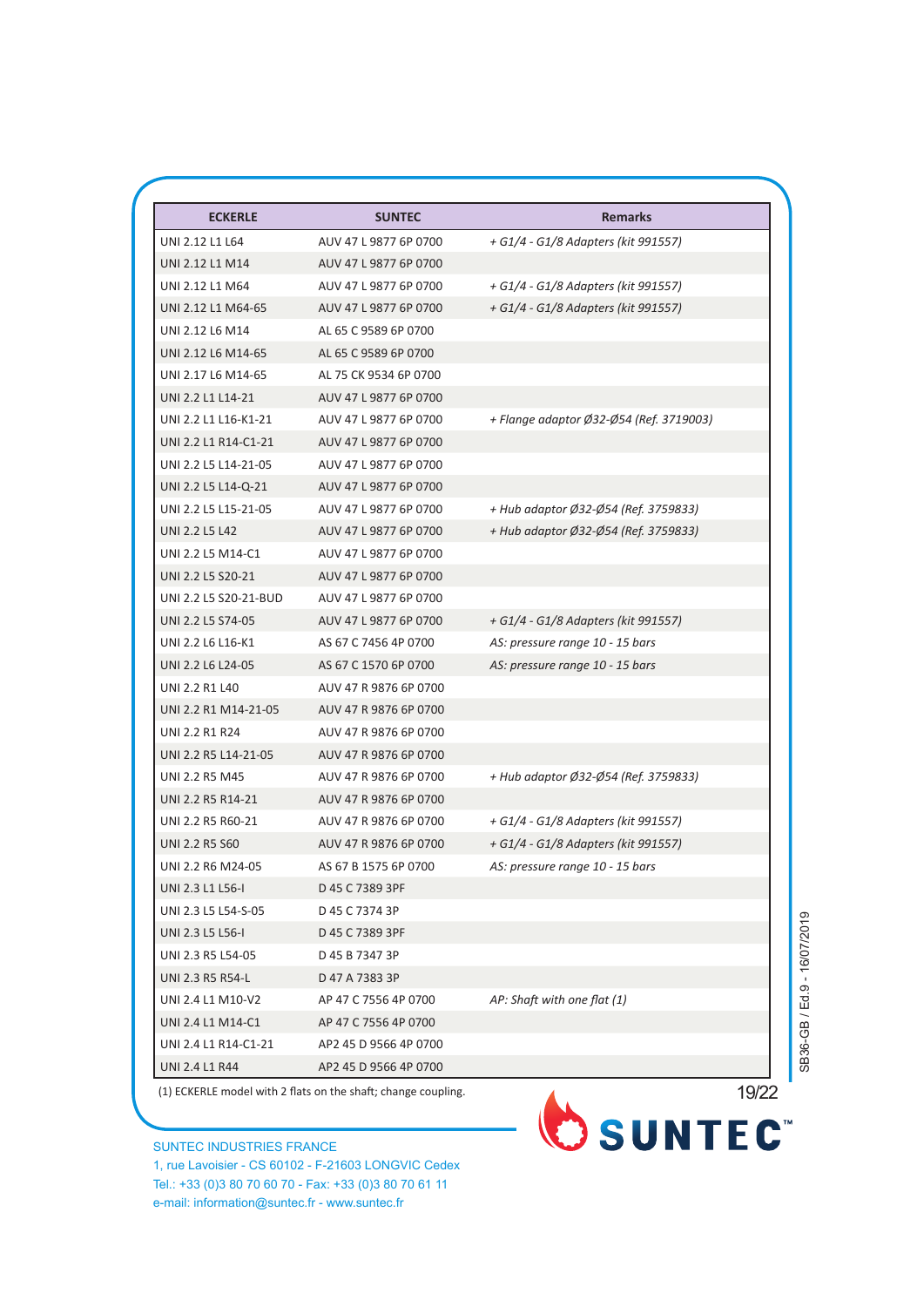| <b>ECKERLE</b>        | <b>SUNTEC</b>         | <b>Remarks</b>                          |
|-----------------------|-----------------------|-----------------------------------------|
| UNI 2.12 L1 L64       | AUV 47 L 9877 6P 0700 | + G1/4 - G1/8 Adapters (kit 991557)     |
| UNI 2.12 L1 M14       | AUV 47 L 9877 6P 0700 |                                         |
| UNI 2.12 L1 M64       | AUV 47 L 9877 6P 0700 | + G1/4 - G1/8 Adapters (kit 991557)     |
| UNI 2.12 L1 M64-65    | AUV 47 L 9877 6P 0700 | + G1/4 - G1/8 Adapters (kit 991557)     |
| UNI 2.12 L6 M14       | AL 65 C 9589 6P 0700  |                                         |
| UNI 2.12 L6 M14-65    | AL 65 C 9589 6P 0700  |                                         |
| UNI 2.17 L6 M14-65    | AL 75 CK 9534 6P 0700 |                                         |
| UNI 2.2 L1 L14-21     | AUV 47 L 9877 6P 0700 |                                         |
| UNI 2.2 L1 L16-K1-21  | AUV 47 L 9877 6P 0700 | + Flange adaptor Ø32-Ø54 (Ref. 3719003) |
| UNI 2.2 L1 R14-C1-21  | AUV 47 L 9877 6P 0700 |                                         |
| UNI 2.2 L5 L14-21-05  | AUV 47 L 9877 6P 0700 |                                         |
| UNI 2.2 L5 L14-Q-21   | AUV 47 L 9877 6P 0700 |                                         |
| UNI 2.2 L5 L15-21-05  | AUV 47 L 9877 6P 0700 | + Hub adaptor Ø32-Ø54 (Ref. 3759833)    |
| UNI 2.2 L5 L42        | AUV 47 L 9877 6P 0700 | + Hub adaptor Ø32-Ø54 (Ref. 3759833)    |
| UNI 2.2 L5 M14-C1     | AUV 47 L 9877 6P 0700 |                                         |
| UNI 2.2 L5 S20-21     | AUV 47 L 9877 6P 0700 |                                         |
| UNI 2.2 L5 S20-21-BUD | AUV 47 L 9877 6P 0700 |                                         |
| UNI 2.2 L5 S74-05     | AUV 47 L 9877 6P 0700 | + G1/4 - G1/8 Adapters (kit 991557)     |
| UNI 2.2 L6 L16-K1     | AS 67 C 7456 4P 0700  | AS: pressure range 10 - 15 bars         |
| UNI 2.2 L6 L24-05     | AS 67 C 1570 6P 0700  | AS: pressure range 10 - 15 bars         |
| UNI 2.2 R1 L40        | AUV 47 R 9876 6P 0700 |                                         |
| UNI 2.2 R1 M14-21-05  | AUV 47 R 9876 6P 0700 |                                         |
| UNI 2.2 R1 R24        | AUV 47 R 9876 6P 0700 |                                         |
| UNI 2.2 R5 L14-21-05  | AUV 47 R 9876 6P 0700 |                                         |
| <b>UNI 2.2 R5 M45</b> | AUV 47 R 9876 6P 0700 | + Hub adaptor Ø32-Ø54 (Ref. 3759833)    |
| UNI 2.2 R5 R14-21     | AUV 47 R 9876 6P 0700 |                                         |
| UNI 2.2 R5 R60-21     | AUV 47 R 9876 6P 0700 | + G1/4 - G1/8 Adapters (kit 991557)     |
| UNI 2.2 R5 S60        | AUV 47 R 9876 6P 0700 | + G1/4 - G1/8 Adapters (kit 991557)     |
| UNI 2.2 R6 M24-05     | AS 67 B 1575 6P 0700  | AS: pressure range 10 - 15 bars         |
| UNI 2.3 L1 L56-I      | D 45 C 7389 3PF       |                                         |
| UNI 2.3 L5 L54-S-05   | D 45 C 7374 3P        |                                         |
| UNI 2.3 L5 L56-I      | D 45 C 7389 3PF       |                                         |
| UNI 2.3 R5 L54-05     | D 45 B 7347 3P        |                                         |
| UNI 2.3 R5 R54-L      | D 47 A 7383 3P        |                                         |
| UNI 2.4 L1 M10-V2     | AP 47 C 7556 4P 0700  | AP: Shaft with one flat (1)             |
| UNI 2.4 L1 M14-C1     | AP 47 C 7556 4P 0700  |                                         |
| UNI 2.4 L1 R14-C1-21  | AP2 45 D 9566 4P 0700 |                                         |
| UNI 2.4 L1 R44        | AP2 45 D 9566 4P 0700 |                                         |

(1) ECKERLE model with 2 flats on the shaft; change coupling.

SUNTEC INDUSTRIES FRANCE 1, rue Lavoisier - CS 60102 - F-21603 LONGVIC Cedex Tel.: +33 (0)3 80 70 60 70 - Fax: +33 (0)3 80 70 61 11 e-mail: information@suntec.fr - www.suntec.fr



SB36-GB / Ed.9 - 16/07/2019 SB36-GB / Ed.9 - 16/07/2019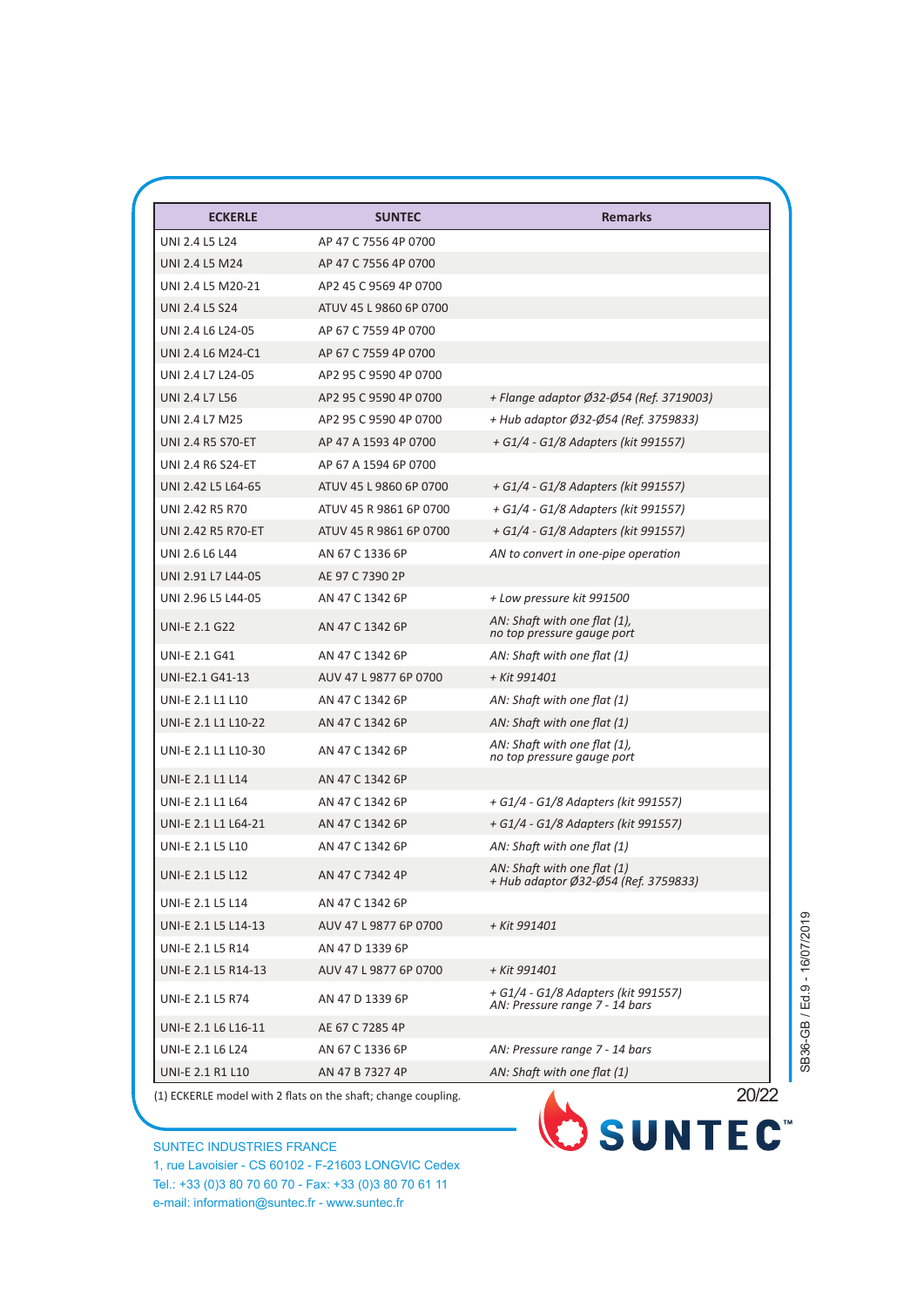| <b>ECKERLE</b>           | <b>SUNTEC</b>                                                 | <b>Remarks</b>                                                        |
|--------------------------|---------------------------------------------------------------|-----------------------------------------------------------------------|
| UNI 2.4 L5 L24           | AP 47 C 7556 4P 0700                                          |                                                                       |
| UNI 2.4 L5 M24           | AP 47 C 7556 4P 0700                                          |                                                                       |
| UNI 2.4 L5 M20-21        | AP2 45 C 9569 4P 0700                                         |                                                                       |
| <b>UNI 2.4 L5 S24</b>    | ATUV 45 L 9860 6P 0700                                        |                                                                       |
| UNI 2.4 L6 L24-05        | AP 67 C 7559 4P 0700                                          |                                                                       |
| UNI 2.4 L6 M24-C1        | AP 67 C 7559 4P 0700                                          |                                                                       |
| UNI 2.4 L7 L24-05        | AP2 95 C 9590 4P 0700                                         |                                                                       |
| UNI 2.4 L7 L56           | AP2 95 C 9590 4P 0700                                         | + Flange adaptor Ø32-Ø54 (Ref. 3719003)                               |
| UNI 2.4 L7 M25           | AP2 95 C 9590 4P 0700                                         | + Hub adaptor Ø32-Ø54 (Ref. 3759833)                                  |
| <b>UNI 2.4 R5 S70-ET</b> | AP 47 A 1593 4P 0700                                          | + G1/4 - G1/8 Adapters (kit 991557)                                   |
| <b>UNI 2.4 R6 S24-ET</b> | AP 67 A 1594 6P 0700                                          |                                                                       |
| UNI 2.42 L5 L64-65       | ATUV 45 L 9860 6P 0700                                        | + G1/4 - G1/8 Adapters (kit 991557)                                   |
| UNI 2.42 R5 R70          | ATUV 45 R 9861 6P 0700                                        | + G1/4 - G1/8 Adapters (kit 991557)                                   |
| UNI 2.42 R5 R70-ET       | ATUV 45 R 9861 6P 0700                                        | + G1/4 - G1/8 Adapters (kit 991557)                                   |
| UNI 2.6 L6 L44           | AN 67 C 1336 6P                                               | AN to convert in one-pipe operation                                   |
| UNI 2.91 L7 L44-05       | AE 97 C 7390 2P                                               |                                                                       |
| UNI 2.96 L5 L44-05       | AN 47 C 1342 6P                                               | + Low pressure kit 991500                                             |
| <b>UNI-E 2.1 G22</b>     | AN 47 C 1342 6P                                               | AN: Shaft with one flat (1),<br>no top pressure gauge port            |
| <b>UNI-E 2.1 G41</b>     | AN 47 C 1342 6P                                               | AN: Shaft with one flat (1)                                           |
| UNI-E2.1 G41-13          | AUV 47 L 9877 6P 0700                                         | + Kit 991401                                                          |
| <b>UNI-E 2.1 L1 L10</b>  | AN 47 C 1342 6P                                               | AN: Shaft with one flat (1)                                           |
| UNI-E 2.1 L1 L10-22      | AN 47 C 1342 6P                                               | AN: Shaft with one flat (1)                                           |
| UNI-E 2.1 L1 L10-30      | AN 47 C 1342 6P                                               | AN: Shaft with one flat (1),<br>no top pressure gauge port            |
| <b>UNI-E 2.1 L1 L14</b>  | AN 47 C 1342 6P                                               |                                                                       |
| UNI-E 2.1 L1 L64         | AN 47 C 1342 6P                                               | + G1/4 - G1/8 Adapters (kit 991557)                                   |
| UNI-E 2.1 L1 L64-21      | AN 47 C 1342 6P                                               | + G1/4 - G1/8 Adapters (kit 991557)                                   |
| UNI-E 2.1 L5 L10         | AN 47 C 1342 6P                                               | AN: Shaft with one flat (1)                                           |
| UNI-E 2.1 L5 L12         | AN 47 C 7342 4P                                               | AN: Shaft with one flat (1)<br>+ Hub adaptor Ø32-Ø54 (Ref. 3759833)   |
| <b>UNI-E 2.1 L5 L14</b>  | AN 47 C 1342 6P                                               |                                                                       |
| UNI-E 2.1 L5 L14-13      | AUV 47 L 9877 6P 0700                                         | + Kit 991401                                                          |
| UNI-E 2.1 L5 R14         | AN 47 D 1339 6P                                               |                                                                       |
| UNI-E 2.1 L5 R14-13      | AUV 47 L 9877 6P 0700                                         | + Kit 991401                                                          |
| <b>UNI-E 2.1 L5 R74</b>  | AN 47 D 1339 6P                                               | + G1/4 - G1/8 Adapters (kit 991557)<br>AN: Pressure range 7 - 14 bars |
| UNI-E 2.1 L6 L16-11      | AE 67 C 7285 4P                                               |                                                                       |
| UNI-E 2.1 L6 L24         | AN 67 C 1336 6P                                               | AN: Pressure range 7 - 14 bars                                        |
| <b>UNI-E 2.1 R1 L10</b>  | AN 47 B 7327 4P                                               | AN: Shaft with one flat (1)                                           |
|                          | (1) ECKERLE model with 2 flats on the shaft; change coupling. | 20/22                                                                 |
|                          |                                                               | SUNTEC <sup>®</sup>                                                   |

SUNTEC INDUSTRIES FRANCE 1, rue Lavoisier - CS 60102 - F-21603 LONGVIC Cedex

Tel.: +33 (0)3 80 70 60 70 - Fax: +33 (0)3 80 70 61 11 e-mail: information@suntec.fr - www.suntec.fr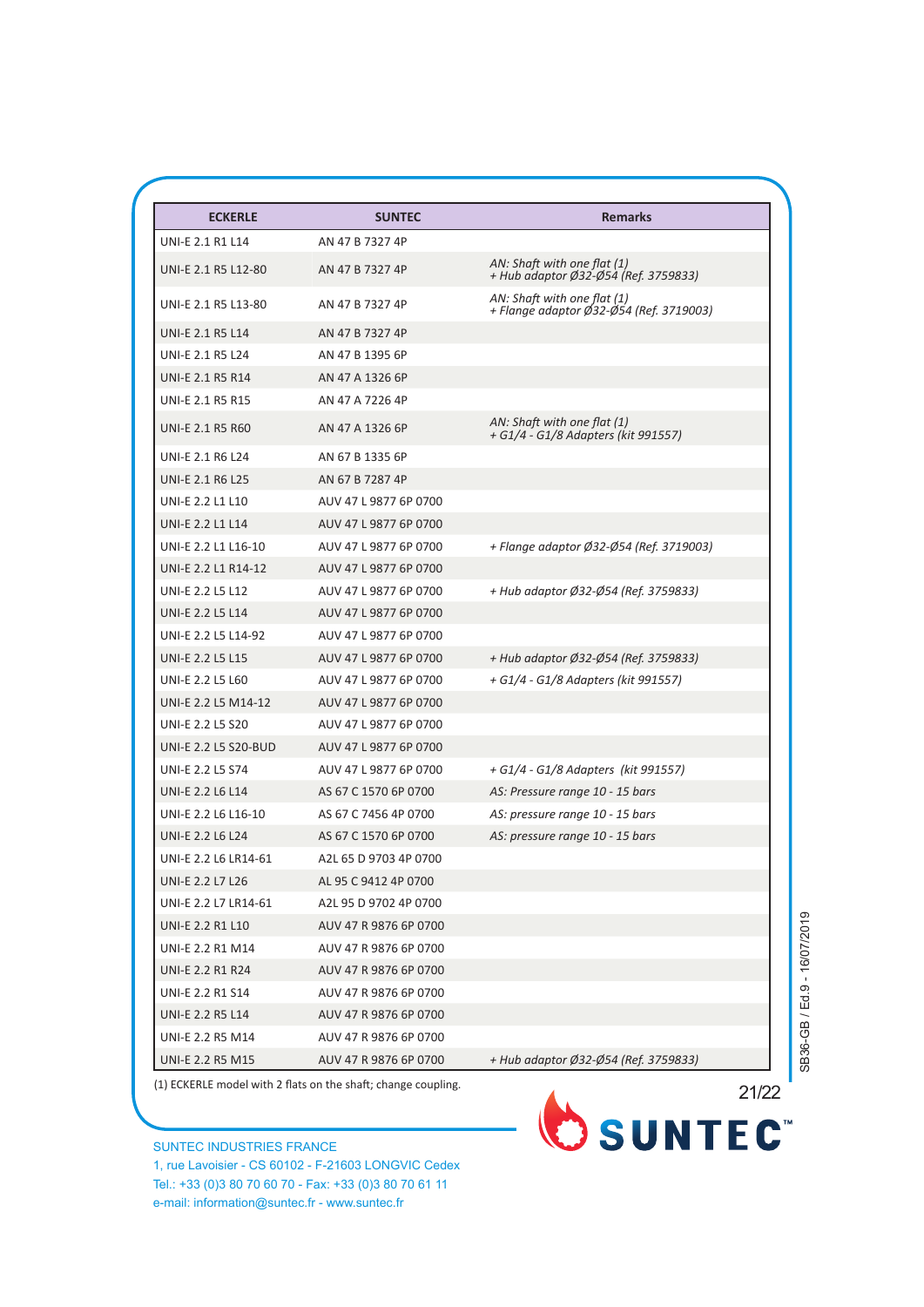| <b>ECKERLE</b>              | <b>SUNTEC</b>         | <b>Remarks</b>                                                         |
|-----------------------------|-----------------------|------------------------------------------------------------------------|
| <b>UNI-E 2.1 R1 L14</b>     | AN 47 B 7327 4P       |                                                                        |
| UNI-E 2.1 R5 L12-80         | AN 47 B 7327 4P       | AN: Shaft with one flat (1)<br>+ Hub adaptor Ø32-Ø54 (Ref. 3759833)    |
| UNI-E 2.1 R5 L13-80         | AN 47 B 7327 4P       | AN: Shaft with one flat (1)<br>+ Flange adaptor Ø32-Ø54 (Ref. 3719003) |
| <b>UNI-E 2.1 R5 L14</b>     | AN 47 B 7327 4P       |                                                                        |
| <b>UNI-E 2.1 R5 L24</b>     | AN 47 B 1395 6P       |                                                                        |
| <b>UNI-E 2.1 R5 R14</b>     | AN 47 A 1326 6P       |                                                                        |
| <b>UNI-E 2.1 R5 R15</b>     | AN 47 A 7226 4P       |                                                                        |
| <b>UNI-E 2.1 R5 R60</b>     | AN 47 A 1326 6P       | AN: Shaft with one flat (1)<br>+ G1/4 - G1/8 Adapters (kit 991557)     |
| <b>UNI-E 2.1 R6 L24</b>     | AN 67 B 1335 6P       |                                                                        |
| <b>UNI-E 2.1 R6 L25</b>     | AN 67 B 7287 4P       |                                                                        |
| <b>UNI-E 2.2 L1 L10</b>     | AUV 47 L 9877 6P 0700 |                                                                        |
| <b>UNI-E 2.2 L1 L14</b>     | AUV 47 L 9877 6P 0700 |                                                                        |
| UNI-E 2.2 L1 L16-10         | AUV 47 L 9877 6P 0700 | + Flange adaptor Ø32-Ø54 (Ref. 3719003)                                |
| UNI-E 2.2 L1 R14-12         | AUV 47 L 9877 6P 0700 |                                                                        |
| <b>UNI-E 2.2 L5 L12</b>     | AUV 47 L 9877 6P 0700 | + Hub adaptor Ø32-Ø54 (Ref. 3759833)                                   |
| <b>UNI-E 2.2 L5 L14</b>     | AUV 47 L 9877 6P 0700 |                                                                        |
| UNI-E 2.2 L5 L14-92         | AUV 47 L 9877 6P 0700 |                                                                        |
| <b>UNI-E 2.2 L5 L15</b>     | AUV 47 L 9877 6P 0700 | + Hub adaptor Ø32-Ø54 (Ref. 3759833)                                   |
| <b>UNI-E 2.2 L5 L60</b>     | AUV 47 L 9877 6P 0700 | + G1/4 - G1/8 Adapters (kit 991557)                                    |
| UNI-E 2.2 L5 M14-12         | AUV 47 L 9877 6P 0700 |                                                                        |
| <b>UNI-E 2.2 L5 S20</b>     | AUV 47 L 9877 6P 0700 |                                                                        |
| <b>UNI-E 2.2 L5 S20-BUD</b> | AUV 47 L 9877 6P 0700 |                                                                        |
| <b>UNI-E 2.2 L5 S74</b>     | AUV 47 L 9877 6P 0700 | + G1/4 - G1/8 Adapters (kit 991557)                                    |
| <b>UNI-E 2.2 L6 L14</b>     | AS 67 C 1570 6P 0700  | AS: Pressure range 10 - 15 bars                                        |
| UNI-E 2.2 L6 L16-10         | AS 67 C 7456 4P 0700  | AS: pressure range 10 - 15 bars                                        |
| <b>UNI-E 2.2 L6 L24</b>     | AS 67 C 1570 6P 0700  | AS: pressure range 10 - 15 bars                                        |
| UNI-E 2.2 L6 LR14-61        | A2L 65 D 9703 4P 0700 |                                                                        |
| <b>UNI-E 2.2 L7 L26</b>     | AL 95 C 9412 4P 0700  |                                                                        |
| UNI-E 2.2 L7 LR14-61        | A2L 95 D 9702 4P 0700 |                                                                        |
| <b>UNI-E 2.2 R1 L10</b>     | AUV 47 R 9876 6P 0700 |                                                                        |
| <b>UNI-E 2.2 R1 M14</b>     | AUV 47 R 9876 6P 0700 |                                                                        |
| <b>UNI-E 2.2 R1 R24</b>     | AUV 47 R 9876 6P 0700 |                                                                        |
| <b>UNI-E 2.2 R1 S14</b>     | AUV 47 R 9876 6P 0700 |                                                                        |
| <b>UNI-E 2.2 R5 L14</b>     | AUV 47 R 9876 6P 0700 |                                                                        |
| <b>UNI-E 2.2 R5 M14</b>     | AUV 47 R 9876 6P 0700 |                                                                        |
| UNI-E 2.2 R5 M15            | AUV 47 R 9876 6P 0700 | + Hub adaptor Ø32-Ø54 (Ref. 3759833)                                   |

SUNTEC INDUSTRIES FRANCE 1, rue Lavoisier - CS 60102 - F-21603 LONGVIC Cedex Tel.: +33 (0)3 80 70 60 70 - Fax: +33 (0)3 80 70 61 11 e-mail: information@suntec.fr - www.suntec.fr



SB36-GB / Ed.9 - 16/07/2019 SB36-GB / Ed.9 - 16/07/2019